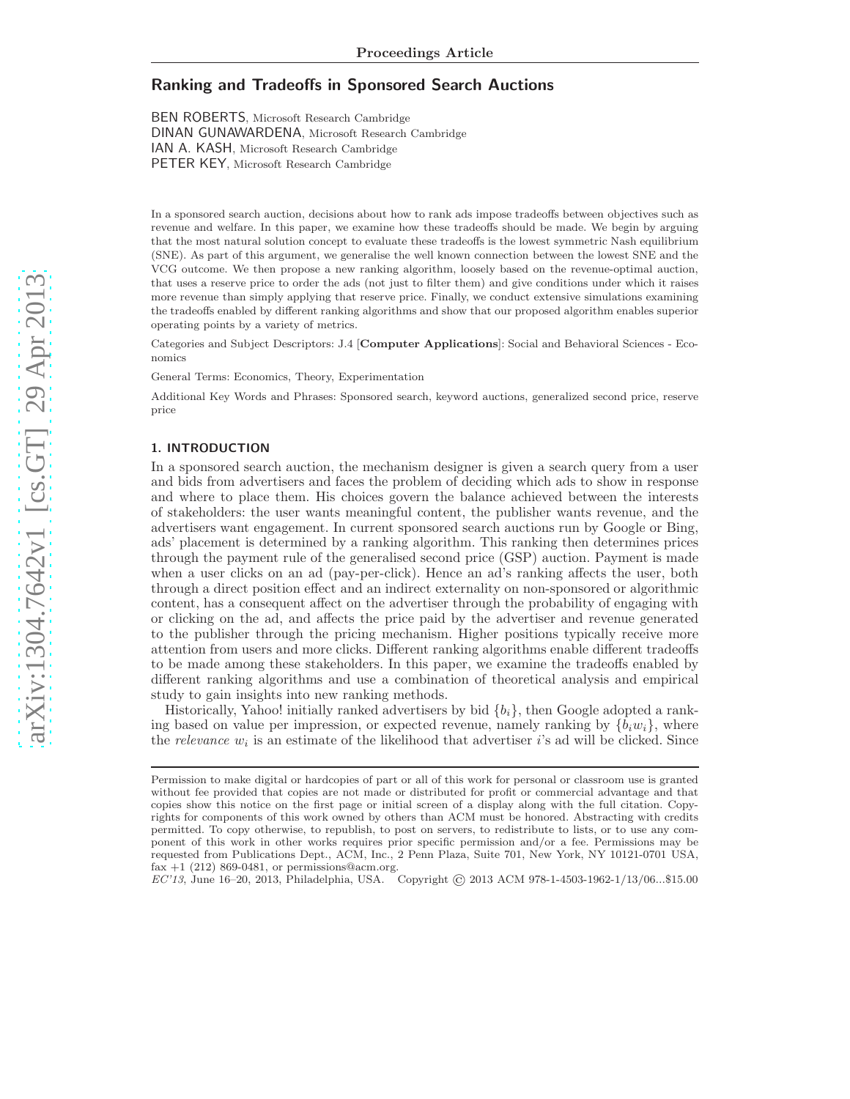# Ranking and Tradeoffs in Sponsored Search Auctions

BEN ROBERTS, Microsoft Research Cambridge DINAN GUNAWARDENA, Microsoft Research Cambridge IAN A. KASH, Microsoft Research Cambridge PETER KEY, Microsoft Research Cambridge

In a sponsored search auction, decisions about how to rank ads impose tradeoffs between objectives such as revenue and welfare. In this paper, we examine how these tradeoffs should be made. We begin by arguing that the most natural solution concept to evaluate these tradeoffs is the lowest symmetric Nash equilibrium (SNE). As part of this argument, we generalise the well known connection between the lowest SNE and the VCG outcome. We then propose a new ranking algorithm, loosely based on the revenue-optimal auction, that uses a reserve price to order the ads (not just to filter them) and give conditions under which it raises more revenue than simply applying that reserve price. Finally, we conduct extensive simulations examining the tradeoffs enabled by different ranking algorithms and show that our proposed algorithm enables superior operating points by a variety of metrics.

Categories and Subject Descriptors: J.4 [Computer Applications]: Social and Behavioral Sciences - Economics

General Terms: Economics, Theory, Experimentation

Additional Key Words and Phrases: Sponsored search, keyword auctions, generalized second price, reserve price

## 1. INTRODUCTION

In a sponsored search auction, the mechanism designer is given a search query from a user and bids from advertisers and faces the problem of deciding which ads to show in response and where to place them. His choices govern the balance achieved between the interests of stakeholders: the user wants meaningful content, the publisher wants revenue, and the advertisers want engagement. In current sponsored search auctions run by Google or Bing, ads' placement is determined by a ranking algorithm. This ranking then determines prices through the payment rule of the generalised second price (GSP) auction. Payment is made when a user clicks on an ad (pay-per-click). Hence an ad's ranking affects the user, both through a direct position effect and an indirect externality on non-sponsored or algorithmic content, has a consequent affect on the advertiser through the probability of engaging with or clicking on the ad, and affects the price paid by the advertiser and revenue generated to the publisher through the pricing mechanism. Higher positions typically receive more attention from users and more clicks. Different ranking algorithms enable different tradeoffs to be made among these stakeholders. In this paper, we examine the tradeoffs enabled by different ranking algorithms and use a combination of theoretical analysis and empirical study to gain insights into new ranking methods.

Historically, Yahoo! initially ranked advertisers by bid  $\{b_i\}$ , then Google adopted a ranking based on value per impression, or expected revenue, namely ranking by  $\{b_i w_i\}$ , where the *relevance*  $w_i$  is an estimate of the likelihood that advertiser *i*'s ad will be clicked. Since

EC'13, June 16–20, 2013, Philadelphia, USA. Copyright © 2013 ACM 978-1-4503-1962-1/13/06...\$15.00

Permission to make digital or hardcopies of part or all of this work for personal or classroom use is granted without fee provided that copies are not made or distributed for profit or commercial advantage and that copies show this notice on the first page or initial screen of a display along with the full citation. Copyrights for components of this work owned by others than ACM must be honored. Abstracting with credits permitted. To copy otherwise, to republish, to post on servers, to redistribute to lists, or to use any component of this work in other works requires prior specific permission and/or a fee. Permissions may be requested from Publications Dept., ACM, Inc., 2 Penn Plaza, Suite 701, New York, NY 10121-0701 USA, fax  $+1$  (212) 869-0481, or permissions@acm.org.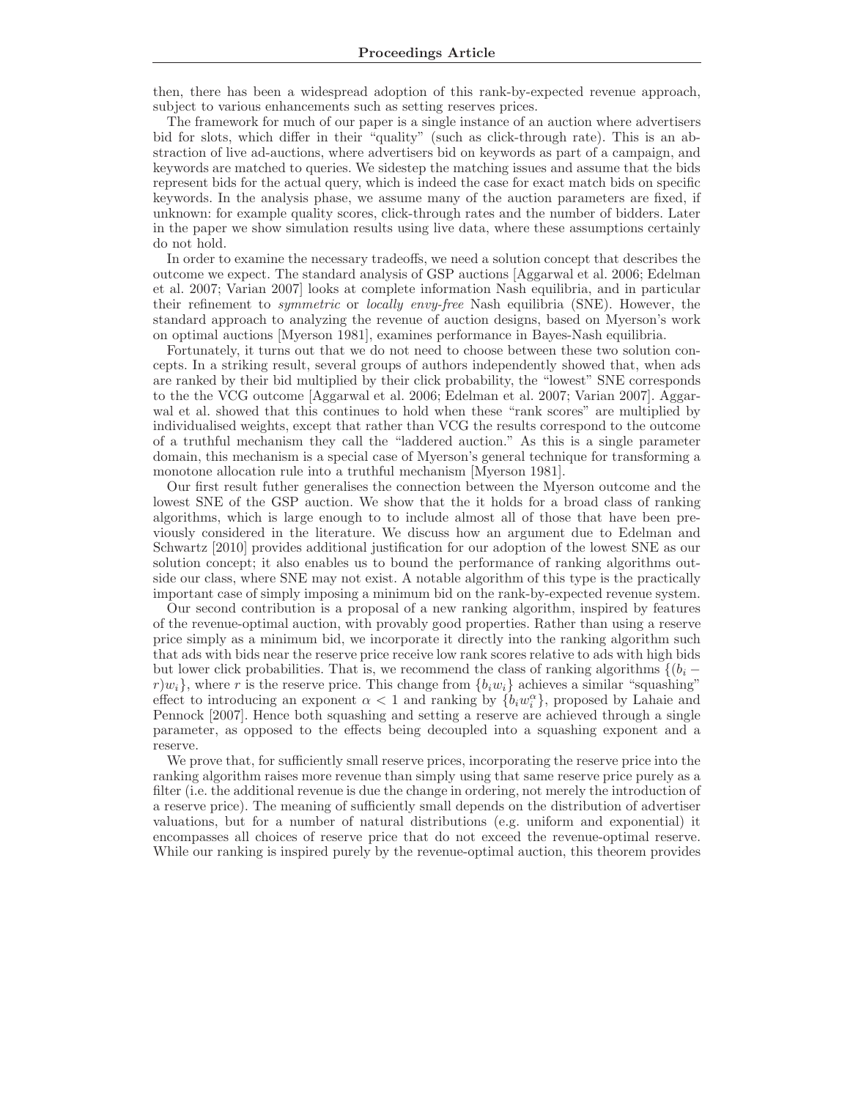then, there has been a widespread adoption of this rank-by-expected revenue approach, subject to various enhancements such as setting reserves prices.

The framework for much of our paper is a single instance of an auction where advertisers bid for slots, which differ in their "quality" (such as click-through rate). This is an abstraction of live ad-auctions, where advertisers bid on keywords as part of a campaign, and keywords are matched to queries. We sidestep the matching issues and assume that the bids represent bids for the actual query, which is indeed the case for exact match bids on specific keywords. In the analysis phase, we assume many of the auction parameters are fixed, if unknown: for example quality scores, click-through rates and the number of bidders. Later in the paper we show simulation results using live data, where these assumptions certainly do not hold.

In order to examine the necessary tradeoffs, we need a solution concept that describes the outcome we expect. The standard analysis of GSP auctions [Aggarwal et al. 2006; Edelman et al. 2007; Varian 2007] looks at complete information Nash equilibria, and in particular their refinement to *symmetric* or *locally envy-free* Nash equilibria (SNE). However, the standard approach to analyzing the revenue of auction designs, based on Myerson's work on optimal auctions [Myerson 1981], examines performance in Bayes-Nash equilibria.

Fortunately, it turns out that we do not need to choose between these two solution concepts. In a striking result, several groups of authors independently showed that, when ads are ranked by their bid multiplied by their click probability, the "lowest" SNE corresponds to the the VCG outcome [Aggarwal et al. 2006; Edelman et al. 2007; Varian 2007]. Aggarwal et al. showed that this continues to hold when these "rank scores" are multiplied by individualised weights, except that rather than VCG the results correspond to the outcome of a truthful mechanism they call the "laddered auction." As this is a single parameter domain, this mechanism is a special case of Myerson's general technique for transforming a monotone allocation rule into a truthful mechanism [Myerson 1981].

Our first result futher generalises the connection between the Myerson outcome and the lowest SNE of the GSP auction. We show that the it holds for a broad class of ranking algorithms, which is large enough to to include almost all of those that have been previously considered in the literature. We discuss how an argument due to Edelman and Schwartz [2010] provides additional justification for our adoption of the lowest SNE as our solution concept; it also enables us to bound the performance of ranking algorithms outside our class, where SNE may not exist. A notable algorithm of this type is the practically important case of simply imposing a minimum bid on the rank-by-expected revenue system.

Our second contribution is a proposal of a new ranking algorithm, inspired by features of the revenue-optimal auction, with provably good properties. Rather than using a reserve price simply as a minimum bid, we incorporate it directly into the ranking algorithm such that ads with bids near the reserve price receive low rank scores relative to ads with high bids but lower click probabilities. That is, we recommend the class of ranking algorithms  $\{(b_i$  $r|w_i$ , where r is the reserve price. This change from  $\{b_iw_i\}$  achieves a similar "squashing" effect to introducing an exponent  $\alpha < 1$  and ranking by  $\{b_i w_i^{\alpha}\}\$ , proposed by Lahaie and Pennock [2007]. Hence both squashing and setting a reserve are achieved through a single parameter, as opposed to the effects being decoupled into a squashing exponent and a reserve.

We prove that, for sufficiently small reserve prices, incorporating the reserve price into the ranking algorithm raises more revenue than simply using that same reserve price purely as a filter (i.e. the additional revenue is due the change in ordering, not merely the introduction of a reserve price). The meaning of sufficiently small depends on the distribution of advertiser valuations, but for a number of natural distributions (e.g. uniform and exponential) it encompasses all choices of reserve price that do not exceed the revenue-optimal reserve. While our ranking is inspired purely by the revenue-optimal auction, this theorem provides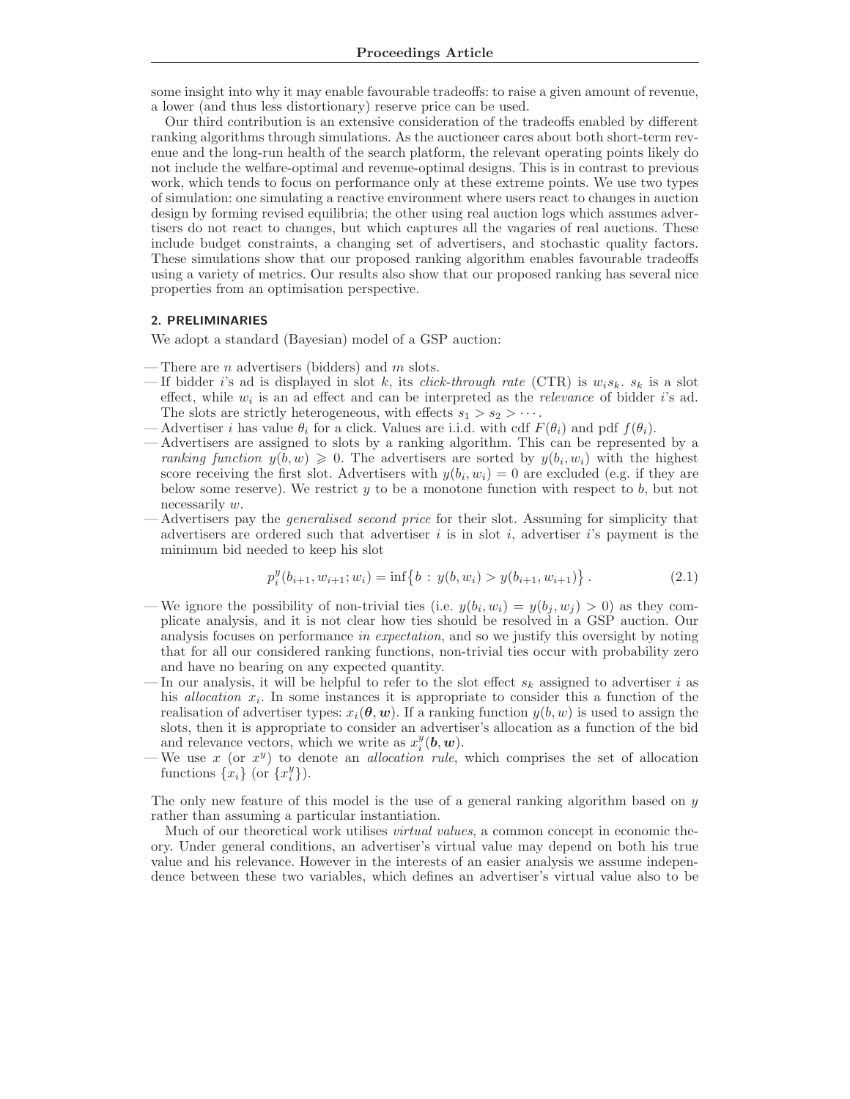some insight into why it may enable favourable tradeoffs: to raise a given amount of revenue, a lower (and thus less distortionary) reserve price can be used.

Our third contribution is an extensive consideration of the tradeoffs enabled by different ranking algorithms through simulations. As the auctioneer cares about both short-term revenue and the long-run health of the search platform, the relevant operating points likely do not include the welfare-optimal and revenue-optimal designs. This is in contrast to previous work, which tends to focus on performance only at these extreme points. We use two types of simulation: one simulating a reactive environment where users react to changes in auction design by forming revised equilibria; the other using real auction logs which assumes advertisers do not react to changes, but which captures all the vagaries of real auctions. These include budget constraints, a changing set of advertisers, and stochastic quality factors. These simulations show that our proposed ranking algorithm enables favourable tradeoffs using a variety of metrics. Our results also show that our proposed ranking has several nice properties from an optimisation perspective.

## 2. PRELIMINARIES

We adopt a standard (Bayesian) model of a GSP auction:

- There are *n* advertisers (bidders) and  $m$  slots.
- If bidder i's ad is displayed in slot k, its *click-through rate* (CTR) is  $w_i s_k$ .  $s_k$  is a slot effect, while  $w_i$  is an ad effect and can be interpreted as the *relevance* of bidder i's ad. The slots are strictly heterogeneous, with effects  $s_1 > s_2 > \cdots$ .
- Advertiser i has value  $\theta_i$  for a click. Values are i.i.d. with cdf  $F(\theta_i)$  and pdf  $f(\theta_i)$ .
- Advertisers are assigned to slots by a ranking algorithm. This can be represented by a ranking function  $y(b, w) \geq 0$ . The advertisers are sorted by  $y(b_i, w_i)$  with the highest score receiving the first slot. Advertisers with  $y(b_i, w_i) = 0$  are excluded (e.g. if they are below some reserve). We restrict  $y$  to be a monotone function with respect to  $b$ , but not necessarily w.
- Advertisers pay the *generalised second price* for their slot. Assuming for simplicity that advertisers are ordered such that advertiser  $i$  is in slot  $i$ , advertiser  $i$ 's payment is the minimum bid needed to keep his slot

$$
p_i^y(b_{i+1}, w_{i+1}; w_i) = \inf\{b : y(b, w_i) > y(b_{i+1}, w_{i+1})\}.
$$
 (2.1)

- We ignore the possibility of non-trivial ties (i.e.  $y(b_i, w_i) = y(b_j, w_j) > 0$ ) as they complicate analysis, and it is not clear how ties should be resolved in a GSP auction. Our analysis focuses on performance in expectation, and so we justify this oversight by noting that for all our considered ranking functions, non-trivial ties occur with probability zero and have no bearing on any expected quantity.
- In our analysis, it will be helpful to refer to the slot effect  $s_k$  assigned to advertiser i as his *allocation*  $x_i$ . In some instances it is appropriate to consider this a function of the realisation of advertiser types:  $x_i(\theta, w)$ . If a ranking function  $y(b, w)$  is used to assign the slots, then it is appropriate to consider an advertiser's allocation as a function of the bid and relevance vectors, which we write as  $x_i^y(\mathbf{b}, \mathbf{w})$ .
- We use x (or  $x^y$ ) to denote an *allocation rule*, which comprises the set of allocation functions  $\{x_i\}$  (or  $\{x_i^y\}$ ).

The only new feature of this model is the use of a general ranking algorithm based on y rather than assuming a particular instantiation.

Much of our theoretical work utilises *virtual values*, a common concept in economic theory. Under general conditions, an advertiser's virtual value may depend on both his true value and his relevance. However in the interests of an easier analysis we assume independence between these two variables, which defines an advertiser's virtual value also to be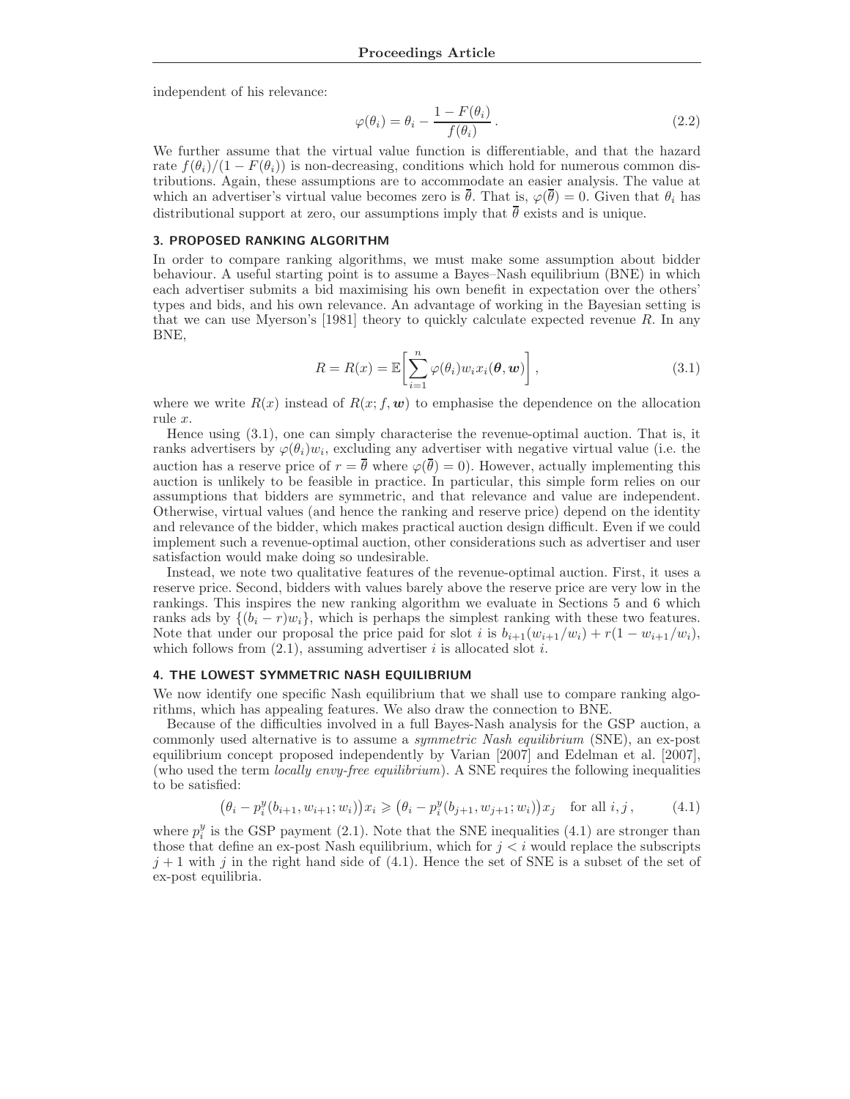independent of his relevance:

$$
\varphi(\theta_i) = \theta_i - \frac{1 - F(\theta_i)}{f(\theta_i)}.
$$
\n(2.2)

We further assume that the virtual value function is differentiable, and that the hazard rate  $f(\theta_i)/(1 - F(\theta_i))$  is non-decreasing, conditions which hold for numerous common distributions. Again, these assumptions are to accommodate an easier analysis. The value at which an advertiser's virtual value becomes zero is  $\bar{\theta}$ . That is,  $\varphi(\bar{\theta}) = 0$ . Given that  $\theta_i$  has distributional support at zero, our assumptions imply that  $\bar{\theta}$  exists and is unique.

#### 3. PROPOSED RANKING ALGORITHM

In order to compare ranking algorithms, we must make some assumption about bidder behaviour. A useful starting point is to assume a Bayes–Nash equilibrium (BNE) in which each advertiser submits a bid maximising his own benefit in expectation over the others' types and bids, and his own relevance. An advantage of working in the Bayesian setting is that we can use Myerson's [1981] theory to quickly calculate expected revenue R. In any BNE,

$$
R = R(x) = \mathbb{E}\left[\sum_{i=1}^{n} \varphi(\theta_i) w_i x_i(\theta, \boldsymbol{w})\right],
$$
\n(3.1)

where we write  $R(x)$  instead of  $R(x; f, w)$  to emphasise the dependence on the allocation rule x.

Hence using (3.1), one can simply characterise the revenue-optimal auction. That is, it ranks advertisers by  $\varphi(\theta_i)w_i$ , excluding any advertiser with negative virtual value (i.e. the auction has a reserve price of  $r = \bar{\theta}$  where  $\varphi(\bar{\theta}) = 0$ ). However, actually implementing this auction is unlikely to be feasible in practice. In particular, this simple form relies on our assumptions that bidders are symmetric, and that relevance and value are independent. Otherwise, virtual values (and hence the ranking and reserve price) depend on the identity and relevance of the bidder, which makes practical auction design difficult. Even if we could implement such a revenue-optimal auction, other considerations such as advertiser and user satisfaction would make doing so undesirable.

Instead, we note two qualitative features of the revenue-optimal auction. First, it uses a reserve price. Second, bidders with values barely above the reserve price are very low in the rankings. This inspires the new ranking algorithm we evaluate in Sections 5 and 6 which ranks ads by  $\{(b_i - r)w_i\}$ , which is perhaps the simplest ranking with these two features. Note that under our proposal the price paid for slot i is  $b_{i+1}(w_{i+1}/w_i) + r(1-w_{i+1}/w_i)$ , which follows from  $(2.1)$ , assuming advertiser *i* is allocated slot *i*.

#### 4. THE LOWEST SYMMETRIC NASH EQUILIBRIUM

We now identify one specific Nash equilibrium that we shall use to compare ranking algorithms, which has appealing features. We also draw the connection to BNE.

Because of the difficulties involved in a full Bayes-Nash analysis for the GSP auction, a commonly used alternative is to assume a *symmetric Nash equilibrium* (SNE), an ex-post equilibrium concept proposed independently by Varian [2007] and Edelman et al. [2007], (who used the term *locally envy-free equilibrium*). A SNE requires the following inequalities to be satisfied:

$$
(\theta_i - p_i^y(b_{i+1}, w_{i+1}; w_i))x_i \geq (\theta_i - p_i^y(b_{j+1}, w_{j+1}; w_i))x_j \text{ for all } i, j,
$$
 (4.1)

where  $p_i^y$  is the GSP payment (2.1). Note that the SNE inequalities (4.1) are stronger than those that define an ex-post Nash equilibrium, which for  $j < i$  would replace the subscripts  $j+1$  with j in the right hand side of (4.1). Hence the set of SNE is a subset of the set of ex-post equilibria.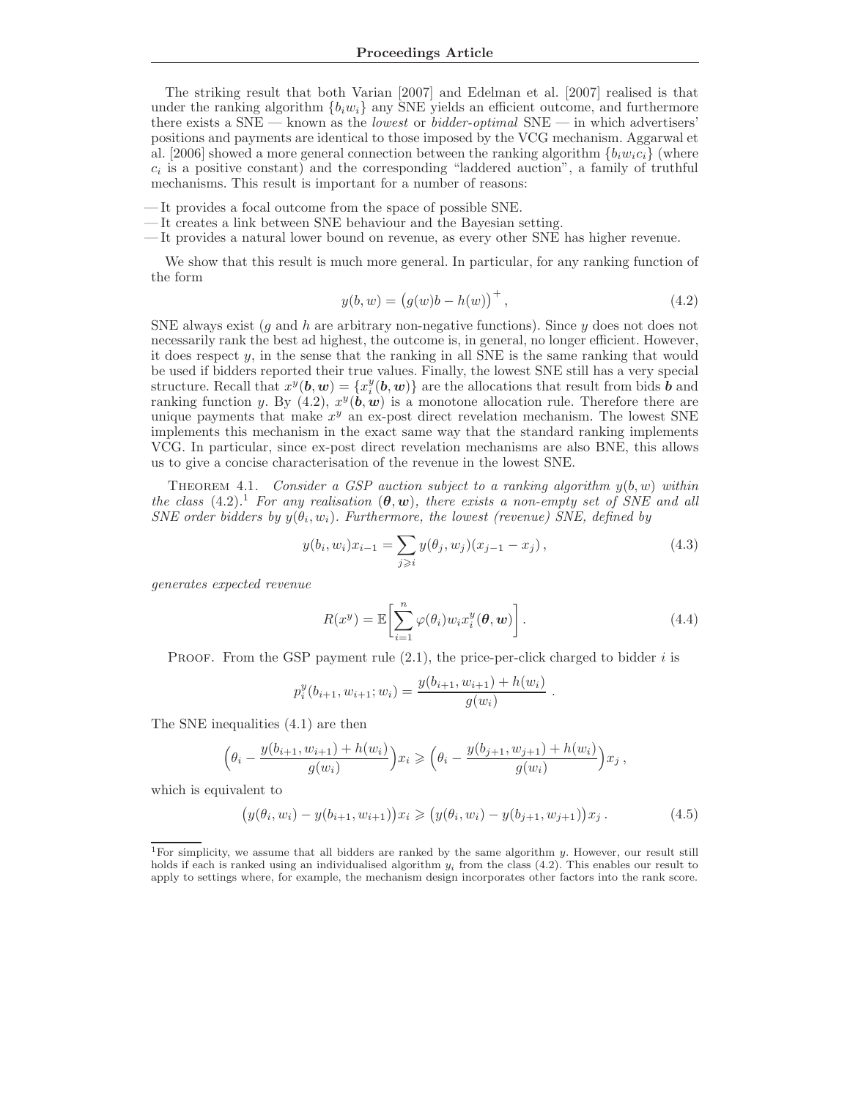The striking result that both Varian [2007] and Edelman et al. [2007] realised is that under the ranking algorithm  $\{b_i w_i\}$  any SNE yields an efficient outcome, and furthermore there exists a  $SNE$  — known as the *lowest* or *bidder-optimal*  $SNE$  — in which advertisers' positions and payments are identical to those imposed by the VCG mechanism. Aggarwal et al. [2006] showed a more general connection between the ranking algorithm  ${b_i w_i c_i}$  (where  $c_i$  is a positive constant) and the corresponding "laddered auction", a family of truthful mechanisms. This result is important for a number of reasons:

- It provides a focal outcome from the space of possible SNE.
- It creates a link between SNE behaviour and the Bayesian setting.
- It provides a natural lower bound on revenue, as every other SNE has higher revenue.

We show that this result is much more general. In particular, for any ranking function of the form

$$
y(b, w) = (g(w)b - h(w))^{+},
$$
\n(4.2)

SNE always exist (q and h are arbitrary non-negative functions). Since  $y$  does not does not necessarily rank the best ad highest, the outcome is, in general, no longer efficient. However, it does respect y, in the sense that the ranking in all SNE is the same ranking that would be used if bidders reported their true values. Finally, the lowest SNE still has a very special structure. Recall that  $x^y(b, w) = \{x_i^y(b, w)\}\$ are the allocations that result from bids  $\boldsymbol{b}$  and ranking function y. By  $(4.2), x^y(\mathbf{b}, \mathbf{w})$  is a monotone allocation rule. Therefore there are unique payments that make  $x^y$  an ex-post direct revelation mechanism. The lowest SNE implements this mechanism in the exact same way that the standard ranking implements VCG. In particular, since ex-post direct revelation mechanisms are also BNE, this allows us to give a concise characterisation of the revenue in the lowest SNE.

THEOREM 4.1. Consider a GSP auction subject to a ranking algorithm  $y(b, w)$  within the class (4.2).<sup>1</sup> For any realisation  $(\theta, w)$ , there exists a non-empty set of SNE and all SNE order bidders by  $y(\theta_i, w_i)$ . Furthermore, the lowest (revenue) SNE, defined by

$$
y(b_i, w_i)x_{i-1} = \sum_{j \geq i} y(\theta_j, w_j)(x_{j-1} - x_j), \qquad (4.3)
$$

generates expected revenue

$$
R(x^y) = \mathbb{E}\left[\sum_{i=1}^n \varphi(\theta_i) w_i x_i^y(\boldsymbol{\theta}, \boldsymbol{w})\right].
$$
\n(4.4)

PROOF. From the GSP payment rule  $(2.1)$ , the price-per-click charged to bidder i is

$$
p_i^y(b_{i+1}, w_{i+1}; w_i) = \frac{y(b_{i+1}, w_{i+1}) + h(w_i)}{g(w_i)}.
$$

The SNE inequalities (4.1) are then

$$
\left(\theta_i - \frac{y(b_{i+1}, w_{i+1}) + h(w_i)}{g(w_i)}\right) x_i \geqslant \left(\theta_i - \frac{y(b_{j+1}, w_{j+1}) + h(w_i)}{g(w_i)}\right) x_j,
$$

which is equivalent to

$$
\big(y(\theta_i, w_i) - y(b_{i+1}, w_{i+1})\big)x_i \geqslant \big(y(\theta_i, w_i) - y(b_{j+1}, w_{j+1})\big)x_j.
$$
\n(4.5)

<sup>&</sup>lt;sup>1</sup>For simplicity, we assume that all bidders are ranked by the same algorithm  $y$ . However, our result still holds if each is ranked using an individualised algorithm  $y_i$  from the class (4.2). This enables our result to apply to settings where, for example, the mechanism design incorporates other factors into the rank score.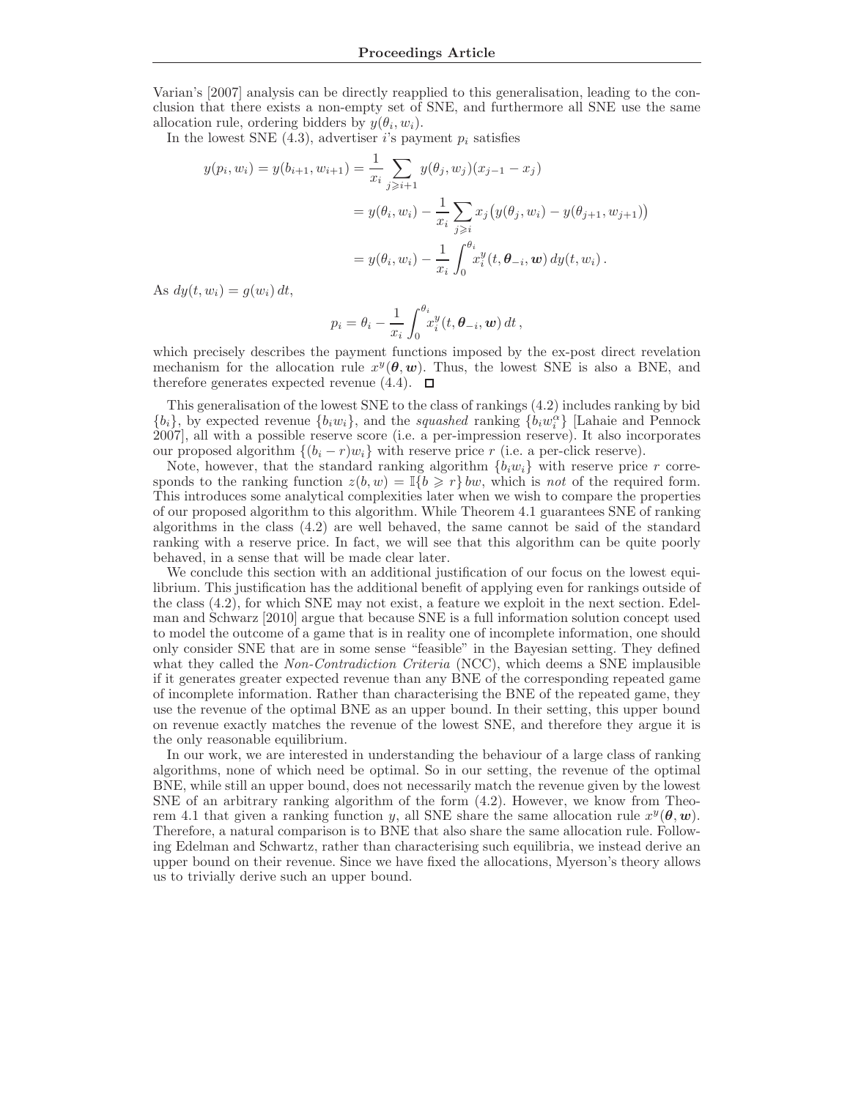Varian's [2007] analysis can be directly reapplied to this generalisation, leading to the conclusion that there exists a non-empty set of SNE, and furthermore all SNE use the same allocation rule, ordering bidders by  $y(\theta_i, w_i)$ .

In the lowest SNE  $(4.3)$ , advertiser *i*'s payment  $p_i$  satisfies

$$
y(p_i, w_i) = y(b_{i+1}, w_{i+1}) = \frac{1}{x_i} \sum_{j \ge i+1} y(\theta_j, w_j)(x_{j-1} - x_j)
$$
  
=  $y(\theta_i, w_i) - \frac{1}{x_i} \sum_{j \ge i} x_j (y(\theta_j, w_i) - y(\theta_{j+1}, w_{j+1}))$   
=  $y(\theta_i, w_i) - \frac{1}{x_i} \int_0^{\theta_i} x_i^y(t, \theta_{-i}, w) dy(t, w_i).$ 

As  $dy(t, w_i) = g(w_i) dt$ ,

$$
p_i = \theta_i - \frac{1}{x_i} \int_0^{\theta_i} x_i^y(t, \theta_{-i}, \mathbf{w}) dt,
$$

which precisely describes the payment functions imposed by the ex-post direct revelation mechanism for the allocation rule  $x^y(\theta, w)$ . Thus, the lowest SNE is also a BNE, and therefore generates expected revenue  $(4.4)$ .  $\Box$ 

This generalisation of the lowest SNE to the class of rankings (4.2) includes ranking by bid  ${b_i}$ , by expected revenue  ${b_i w_i}$ , and the *squashed* ranking  ${b_i w_i^{\alpha}}$  [Lahaie and Pennock 2007], all with a possible reserve score (i.e. a per-impression reserve). It also incorporates our proposed algorithm  $\{(b_i - r)w_i\}$  with reserve price r (i.e. a per-click reserve).

Note, however, that the standard ranking algorithm  $\{b_i w_i\}$  with reserve price r corresponds to the ranking function  $z(b, w) = \mathbb{I}\{b \geq r\}$  bw, which is not of the required form. This introduces some analytical complexities later when we wish to compare the properties of our proposed algorithm to this algorithm. While Theorem 4.1 guarantees SNE of ranking algorithms in the class (4.2) are well behaved, the same cannot be said of the standard ranking with a reserve price. In fact, we will see that this algorithm can be quite poorly behaved, in a sense that will be made clear later.

We conclude this section with an additional justification of our focus on the lowest equilibrium. This justification has the additional benefit of applying even for rankings outside of the class (4.2), for which SNE may not exist, a feature we exploit in the next section. Edelman and Schwarz [2010] argue that because SNE is a full information solution concept used to model the outcome of a game that is in reality one of incomplete information, one should only consider SNE that are in some sense "feasible" in the Bayesian setting. They defined what they called the *Non-Contradiction Criteria* (NCC), which deems a SNE implausible if it generates greater expected revenue than any BNE of the corresponding repeated game of incomplete information. Rather than characterising the BNE of the repeated game, they use the revenue of the optimal BNE as an upper bound. In their setting, this upper bound on revenue exactly matches the revenue of the lowest SNE, and therefore they argue it is the only reasonable equilibrium.

In our work, we are interested in understanding the behaviour of a large class of ranking algorithms, none of which need be optimal. So in our setting, the revenue of the optimal BNE, while still an upper bound, does not necessarily match the revenue given by the lowest SNE of an arbitrary ranking algorithm of the form (4.2). However, we know from Theorem 4.1 that given a ranking function y, all SNE share the same allocation rule  $x^y(\theta, w)$ . Therefore, a natural comparison is to BNE that also share the same allocation rule. Following Edelman and Schwartz, rather than characterising such equilibria, we instead derive an upper bound on their revenue. Since we have fixed the allocations, Myerson's theory allows us to trivially derive such an upper bound.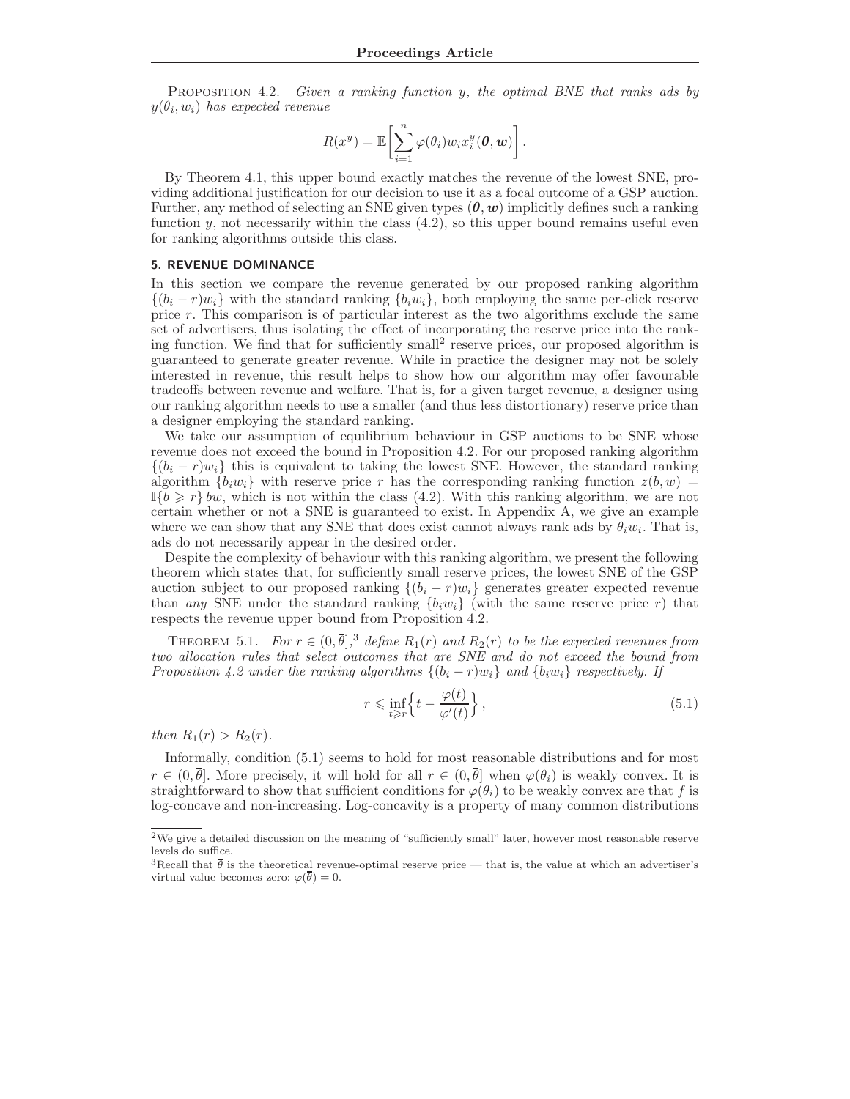PROPOSITION 4.2. Given a ranking function y, the optimal BNE that ranks ads by  $y(\theta_i, w_i)$  has expected revenue

$$
R(x^y) = \mathbb{E}\left[\sum_{i=1}^n \varphi(\theta_i) w_i x_i^y(\theta, \boldsymbol{w})\right].
$$

By Theorem 4.1, this upper bound exactly matches the revenue of the lowest SNE, providing additional justification for our decision to use it as a focal outcome of a GSP auction. Further, any method of selecting an SNE given types  $(\theta, w)$  implicitly defines such a ranking function y, not necessarily within the class  $(4.2)$ , so this upper bound remains useful even for ranking algorithms outside this class.

#### 5. REVENUE DOMINANCE

In this section we compare the revenue generated by our proposed ranking algorithm  $\{(b_i - r)w_i\}$  with the standard ranking  $\{b_i w_i\}$ , both employing the same per-click reserve price r. This comparison is of particular interest as the two algorithms exclude the same set of advertisers, thus isolating the effect of incorporating the reserve price into the ranking function. We find that for sufficiently small<sup>2</sup> reserve prices, our proposed algorithm is guaranteed to generate greater revenue. While in practice the designer may not be solely interested in revenue, this result helps to show how our algorithm may offer favourable tradeoffs between revenue and welfare. That is, for a given target revenue, a designer using our ranking algorithm needs to use a smaller (and thus less distortionary) reserve price than a designer employing the standard ranking.

We take our assumption of equilibrium behaviour in GSP auctions to be SNE whose revenue does not exceed the bound in Proposition 4.2. For our proposed ranking algorithm  $\{(b_i - r)w_i\}$  this is equivalent to taking the lowest SNE. However, the standard ranking algorithm  $\{b_i w_i\}$  with reserve price r has the corresponding ranking function  $z(b, w)$  =  $\mathbb{I}\{b \geq r\}$  bw, which is not within the class (4.2). With this ranking algorithm, we are not certain whether or not a SNE is guaranteed to exist. In Appendix A, we give an example where we can show that any SNE that does exist cannot always rank ads by  $\theta_i w_i$ . That is, ads do not necessarily appear in the desired order.

Despite the complexity of behaviour with this ranking algorithm, we present the following theorem which states that, for sufficiently small reserve prices, the lowest SNE of the GSP auction subject to our proposed ranking  $\{(b_i - r)w_i\}$  generates greater expected revenue than any SNE under the standard ranking  $\{b_i w_i\}$  (with the same reserve price r) that respects the revenue upper bound from Proposition 4.2.

THEOREM 5.1. For  $r \in (0,\bar{\theta}]$ ,<sup>3</sup> define  $R_1(r)$  and  $R_2(r)$  to be the expected revenues from two allocation rules that select outcomes that are SNE and do not exceed the bound from Proposition 4.2 under the ranking algorithms  $\{(b_i - r)w_i\}$  and  $\{b_iw_i\}$  respectively. If

$$
r \leq \inf_{t \geq r} \left\{ t - \frac{\varphi(t)}{\varphi'(t)} \right\},\tag{5.1}
$$

then  $R_1(r) > R_2(r)$ .

Informally, condition (5.1) seems to hold for most reasonable distributions and for most  $r \in (0, \bar{\theta}]$ . More precisely, it will hold for all  $r \in (0, \bar{\theta}]$  when  $\varphi(\theta_i)$  is weakly convex. It is straightforward to show that sufficient conditions for  $\varphi(\theta_i)$  to be weakly convex are that f is log-concave and non-increasing. Log-concavity is a property of many common distributions

<sup>&</sup>lt;sup>2</sup>We give a detailed discussion on the meaning of "sufficiently small" later, however most reasonable reserve levels do suffice.

<sup>&</sup>lt;sup>3</sup>Recall that  $\bar{\theta}$  is the theoretical revenue-optimal reserve price — that is, the value at which an advertiser's virtual value becomes zero:  $\varphi(\theta) = 0$ .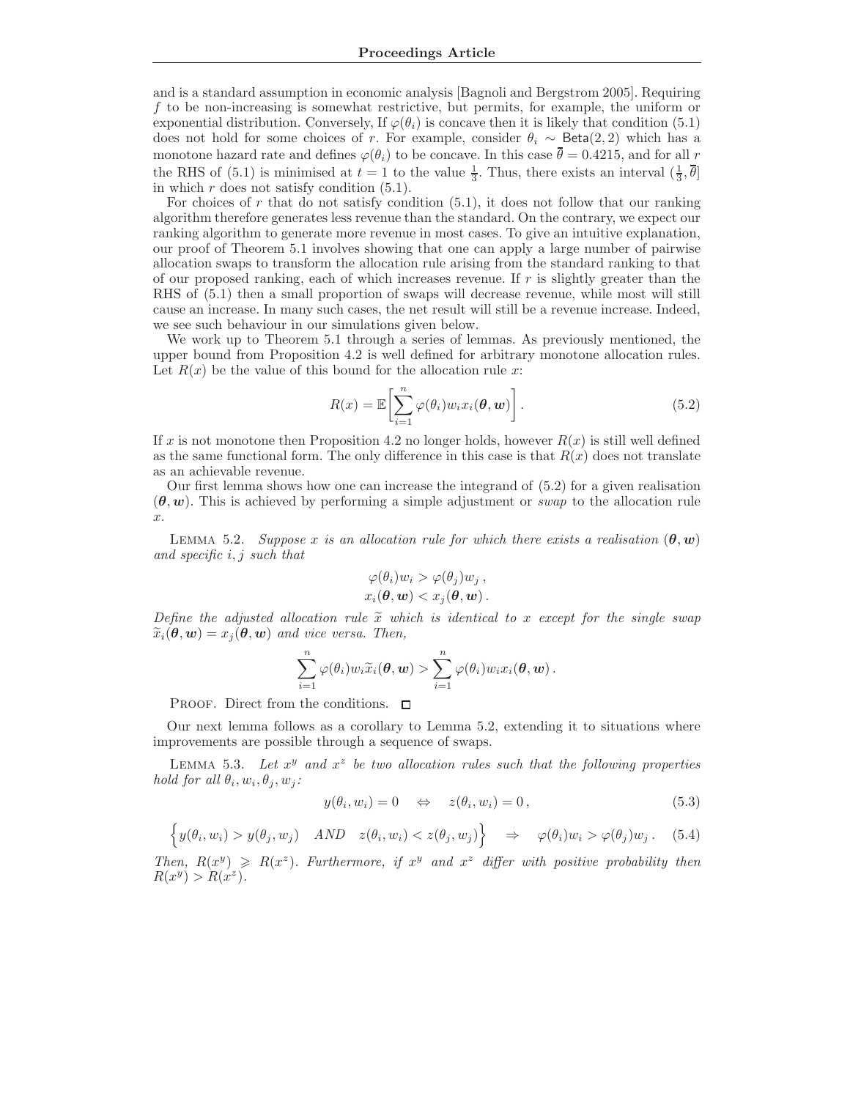and is a standard assumption in economic analysis [Bagnoli and Bergstrom 2005]. Requiring f to be non-increasing is somewhat restrictive, but permits, for example, the uniform or exponential distribution. Conversely, If  $\varphi(\theta_i)$  is concave then it is likely that condition (5.1) does not hold for some choices of r. For example, consider  $\theta_i \sim \text{Beta}(2, 2)$  which has a monotone hazard rate and defines  $\varphi(\theta_i)$  to be concave. In this case  $\bar{\theta} = 0.4215$ , and for all r the RHS of (5.1) is minimised at  $t = 1$  to the value  $\frac{1}{3}$ . Thus, there exists an interval  $(\frac{1}{3}, \overline{\theta}]$ in which  $r$  does not satisfy condition  $(5.1)$ .

For choices of r that do not satisfy condition  $(5.1)$ , it does not follow that our ranking algorithm therefore generates less revenue than the standard. On the contrary, we expect our ranking algorithm to generate more revenue in most cases. To give an intuitive explanation, our proof of Theorem 5.1 involves showing that one can apply a large number of pairwise allocation swaps to transform the allocation rule arising from the standard ranking to that of our proposed ranking, each of which increases revenue. If  $r$  is slightly greater than the RHS of (5.1) then a small proportion of swaps will decrease revenue, while most will still cause an increase. In many such cases, the net result will still be a revenue increase. Indeed, we see such behaviour in our simulations given below.

We work up to Theorem 5.1 through a series of lemmas. As previously mentioned, the upper bound from Proposition 4.2 is well defined for arbitrary monotone allocation rules. Let  $R(x)$  be the value of this bound for the allocation rule x:

$$
R(x) = \mathbb{E}\left[\sum_{i=1}^{n} \varphi(\theta_i) w_i x_i(\theta, \mathbf{w})\right].
$$
\n(5.2)

If x is not monotone then Proposition 4.2 no longer holds, however  $R(x)$  is still well defined as the same functional form. The only difference in this case is that  $R(x)$  does not translate as an achievable revenue.

Our first lemma shows how one can increase the integrand of (5.2) for a given realisation  $(\theta, w)$ . This is achieved by performing a simple adjustment or swap to the allocation rule  $\hat{x}$ .

LEMMA 5.2. Suppose x is an allocation rule for which there exists a realisation  $(\theta, w)$ and specific i, j such that

$$
\varphi(\theta_i)w_i > \varphi(\theta_j)w_j,
$$
  

$$
x_i(\theta, \mathbf{w}) < x_j(\theta, \mathbf{w}).
$$

Define the adjusted allocation rule  $\tilde{x}$  which is identical to x except for the single swap  $\widetilde{x}_i(\theta, \boldsymbol{w}) = x_i(\theta, \boldsymbol{w})$  and vice versa. Then,

$$
\sum_{i=1}^n \varphi(\theta_i) w_i \widetilde{x}_i(\boldsymbol{\theta}, \boldsymbol{w}) > \sum_{i=1}^n \varphi(\theta_i) w_i x_i(\boldsymbol{\theta}, \boldsymbol{w}).
$$

PROOF. Direct from the conditions.  $\Box$ 

Our next lemma follows as a corollary to Lemma 5.2, extending it to situations where improvements are possible through a sequence of swaps.

LEMMA 5.3. Let  $x^y$  and  $x^z$  be two allocation rules such that the following properties hold for all  $\theta_i, w_i, \theta_j, w_j$ :

$$
y(\theta_i, w_i) = 0 \quad \Leftrightarrow \quad z(\theta_i, w_i) = 0, \tag{5.3}
$$

$$
\left\{ y(\theta_i, w_i) > y(\theta_j, w_j) \quad AND \quad z(\theta_i, w_i) < z(\theta_j, w_j) \right\} \quad \Rightarrow \quad \varphi(\theta_i) w_i > \varphi(\theta_j) w_j. \tag{5.4}
$$

Then,  $R(x^y) \ge R(x^z)$ . Furthermore, if  $x^y$  and  $x^z$  differ with positive probability then  $R(x^y) > R(x^z).$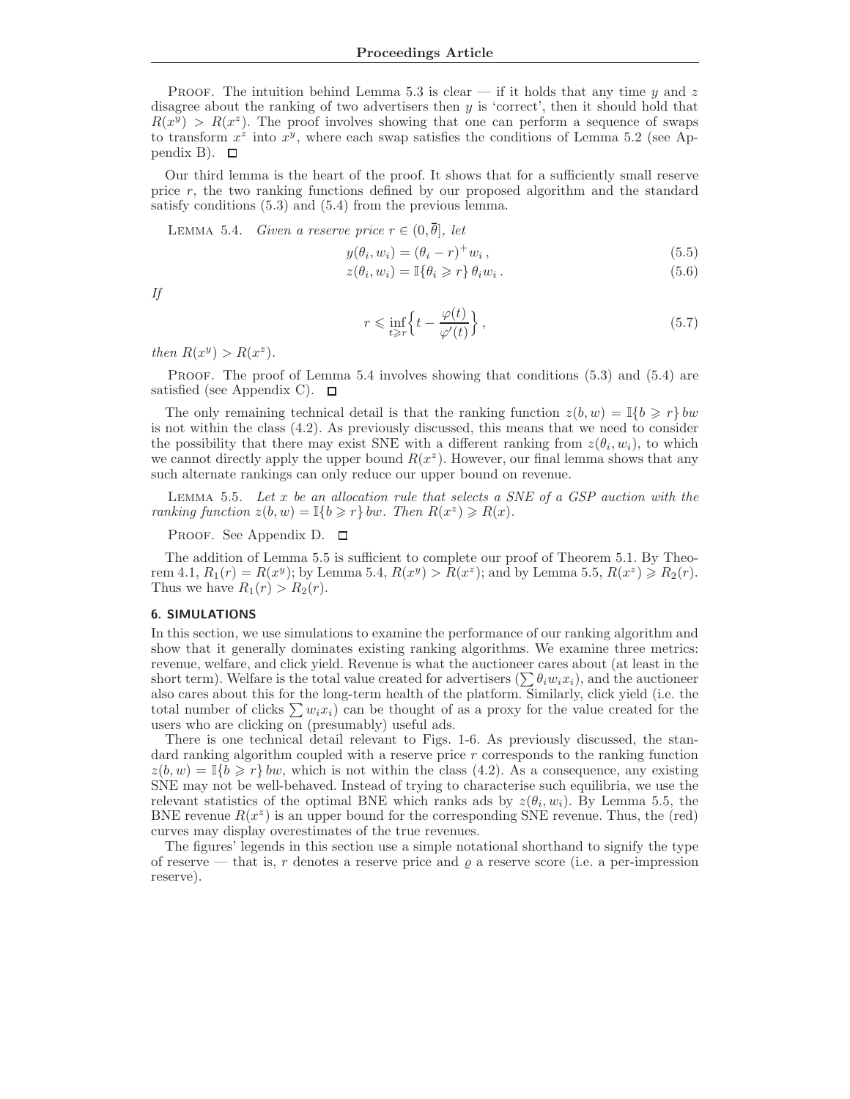PROOF. The intuition behind Lemma 5.3 is clear — if it holds that any time  $\gamma$  and z disagree about the ranking of two advertisers then y is 'correct', then it should hold that  $R(x^y) > R(x^z)$ . The proof involves showing that one can perform a sequence of swaps to transform  $x^2$  into  $x^y$ , where each swap satisfies the conditions of Lemma 5.2 (see Appendix B).  $\Box$ 

Our third lemma is the heart of the proof. It shows that for a sufficiently small reserve price r, the two ranking functions defined by our proposed algorithm and the standard satisfy conditions (5.3) and (5.4) from the previous lemma.

LEMMA 5.4. Given a reserve price  $r \in (0, \overline{\theta}]$ , let

$$
y(\theta_i, w_i) = (\theta_i - r)^+ w_i, \qquad (5.5)
$$

$$
z(\theta_i, w_i) = \mathbb{I}\{\theta_i \geq r\} \theta_i w_i.
$$
\n
$$
(5.6)
$$

If

$$
r \leq \inf_{t \geq r} \left\{ t - \frac{\varphi(t)}{\varphi'(t)} \right\},\tag{5.7}
$$

then  $R(x^y) > R(x^z)$ .

PROOF. The proof of Lemma 5.4 involves showing that conditions (5.3) and (5.4) are satisfied (see Appendix C).  $\Box$ 

The only remaining technical detail is that the ranking function  $z(b, w) = \mathbb{I}{b \geq r}$  bw is not within the class (4.2). As previously discussed, this means that we need to consider the possibility that there may exist SNE with a different ranking from  $z(\theta_i, w_i)$ , to which we cannot directly apply the upper bound  $R(x^z)$ . However, our final lemma shows that any such alternate rankings can only reduce our upper bound on revenue.

LEMMA 5.5. Let  $x$  be an allocation rule that selects a SNE of a GSP auction with the ranking function  $z(b, w) = \mathbb{I}\{b \geq r\}$  bw. Then  $R(x^z) \geq R(x)$ .

PROOF. See Appendix D.  $\Box$ 

The addition of Lemma 5.5 is sufficient to complete our proof of Theorem 5.1. By Theorem 4.1,  $R_1(r) = R(x^y)$ ; by Lemma 5.4,  $R(x^y) > R(x^z)$ ; and by Lemma 5.5,  $R(x^z) \ge R_2(r)$ . Thus we have  $R_1(r) > R_2(r)$ .

#### 6. SIMULATIONS

In this section, we use simulations to examine the performance of our ranking algorithm and show that it generally dominates existing ranking algorithms. We examine three metrics: revenue, welfare, and click yield. Revenue is what the auctioneer cares about (at least in the short term). Welfare is the total value created for advertisers  $(\sum \theta_i w_i x_i)$ , and the auctioneer also cares about this for the long-term health of the platform. Similarly, click yield (i.e. the total number of clicks  $\sum w_i x_i$  can be thought of as a proxy for the value created for the users who are clicking on (presumably) useful ads.

There is one technical detail relevant to Figs. 1-6. As previously discussed, the standard ranking algorithm coupled with a reserve price r corresponds to the ranking function  $z(b, w) = \mathbb{I}{b \geq r}$  bw, which is not within the class (4.2). As a consequence, any existing SNE may not be well-behaved. Instead of trying to characterise such equilibria, we use the relevant statistics of the optimal BNE which ranks ads by  $z(\theta_i, w_i)$ . By Lemma 5.5, the BNE revenue  $R(x^z)$  is an upper bound for the corresponding SNE revenue. Thus, the (red) curves may display overestimates of the true revenues.

The figures' legends in this section use a simple notational shorthand to signify the type of reserve — that is, r denotes a reserve price and  $\rho$  a reserve score (i.e. a per-impression reserve).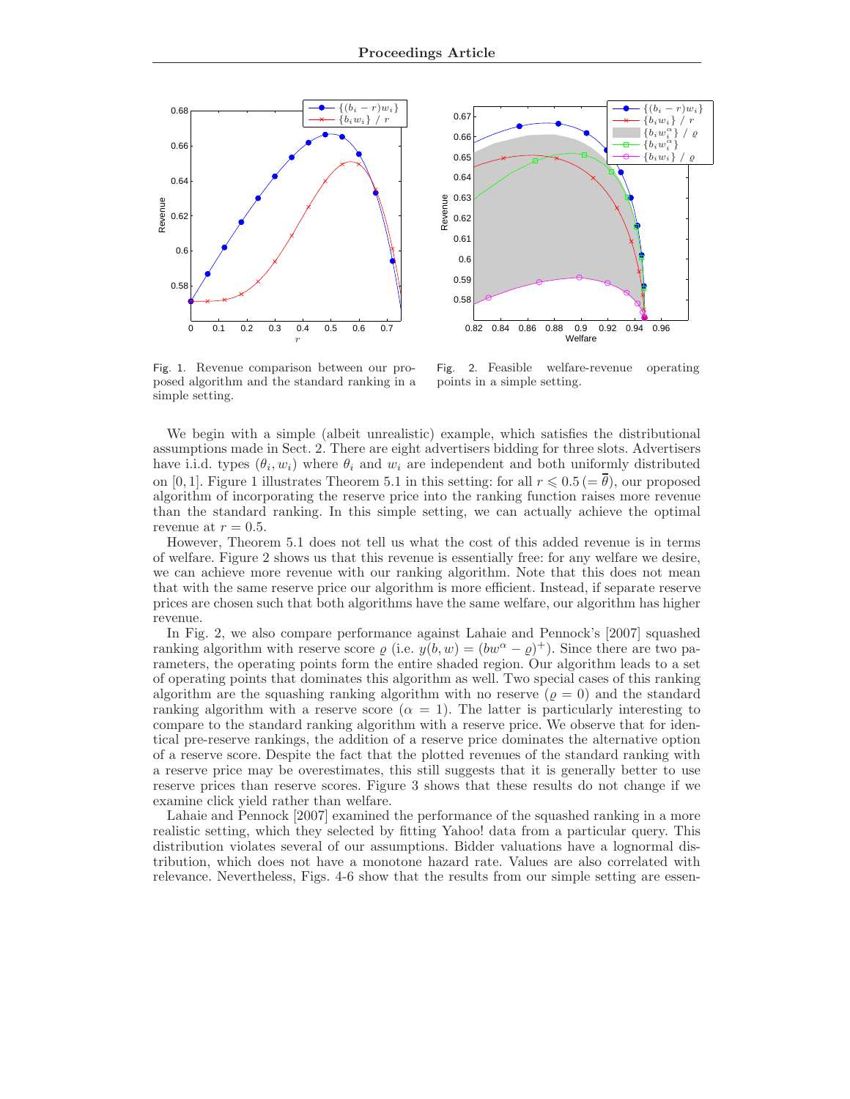



Fig. 1. Revenue comparison between our proposed algorithm and the standard ranking in a simple setting.

Fig. 2. Feasible welfare-revenue operating points in a simple setting.

We begin with a simple (albeit unrealistic) example, which satisfies the distributional assumptions made in Sect. 2. There are eight advertisers bidding for three slots. Advertisers have i.i.d. types  $(\theta_i, w_i)$  where  $\theta_i$  and  $w_i$  are independent and both uniformly distributed on [0, 1]. Figure 1 illustrates Theorem 5.1 in this setting: for all  $r \leq 0.5 (= \bar{\theta})$ , our proposed algorithm of incorporating the reserve price into the ranking function raises more revenue than the standard ranking. In this simple setting, we can actually achieve the optimal revenue at  $r = 0.5$ .

However, Theorem 5.1 does not tell us what the cost of this added revenue is in terms of welfare. Figure 2 shows us that this revenue is essentially free: for any welfare we desire, we can achieve more revenue with our ranking algorithm. Note that this does not mean that with the same reserve price our algorithm is more efficient. Instead, if separate reserve prices are chosen such that both algorithms have the same welfare, our algorithm has higher revenue.

In Fig. 2, we also compare performance against Lahaie and Pennock's [2007] squashed ranking algorithm with reserve score  $\varrho$  (i.e.  $y(b, w) = (bw^{\alpha} - \varrho)^+$ ). Since there are two parameters, the operating points form the entire shaded region. Our algorithm leads to a set of operating points that dominates this algorithm as well. Two special cases of this ranking algorithm are the squashing ranking algorithm with no reserve  $(\rho = 0)$  and the standard ranking algorithm with a reserve score  $(\alpha = 1)$ . The latter is particularly interesting to compare to the standard ranking algorithm with a reserve price. We observe that for identical pre-reserve rankings, the addition of a reserve price dominates the alternative option of a reserve score. Despite the fact that the plotted revenues of the standard ranking with a reserve price may be overestimates, this still suggests that it is generally better to use reserve prices than reserve scores. Figure 3 shows that these results do not change if we examine click yield rather than welfare.

Lahaie and Pennock [2007] examined the performance of the squashed ranking in a more realistic setting, which they selected by fitting Yahoo! data from a particular query. This distribution violates several of our assumptions. Bidder valuations have a lognormal distribution, which does not have a monotone hazard rate. Values are also correlated with relevance. Nevertheless, Figs. 4-6 show that the results from our simple setting are essen-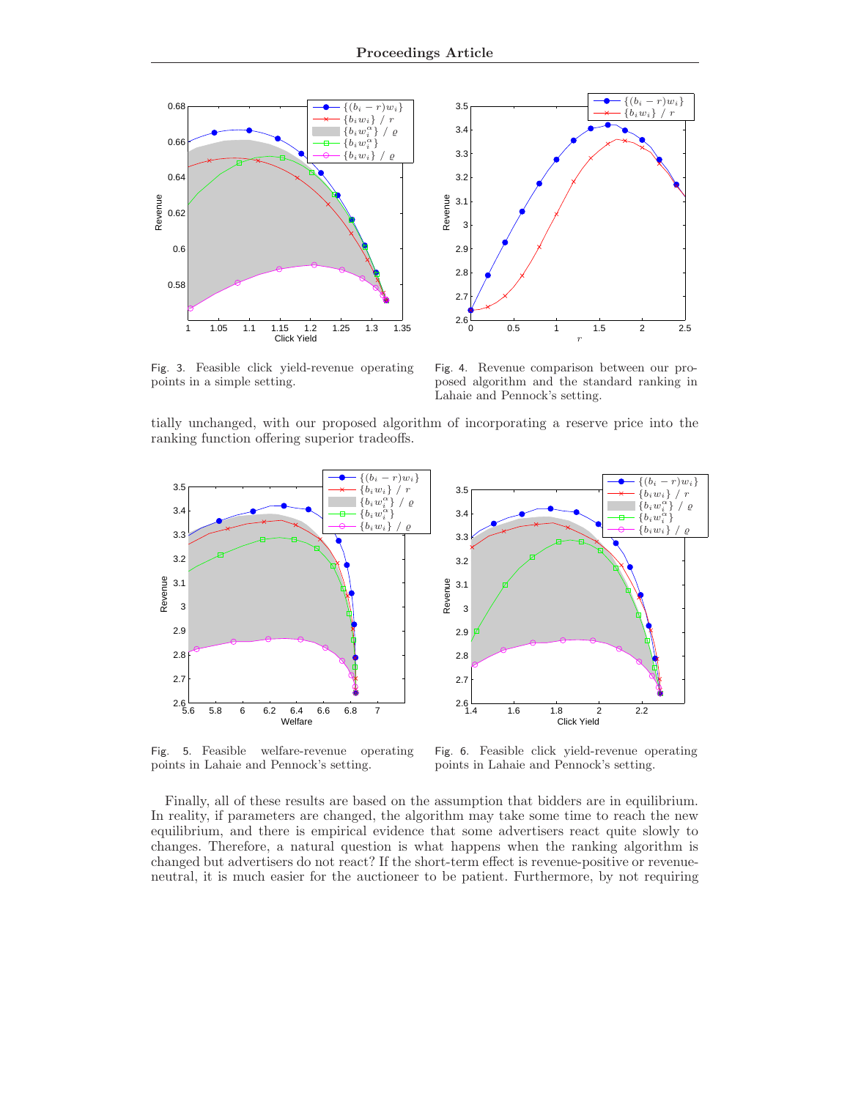



Fig. 3. Feasible click yield-revenue operating points in a simple setting.

Fig. 4. Revenue comparison between our proposed algorithm and the standard ranking in Lahaie and Pennock's setting.

tially unchanged, with our proposed algorithm of incorporating a reserve price into the ranking function offering superior tradeoffs.



Fig. 5. Feasible welfare-revenue operating points in Lahaie and Pennock's setting.

Fig. 6. Feasible click yield-revenue operating points in Lahaie and Pennock's setting.

Finally, all of these results are based on the assumption that bidders are in equilibrium. In reality, if parameters are changed, the algorithm may take some time to reach the new equilibrium, and there is empirical evidence that some advertisers react quite slowly to changes. Therefore, a natural question is what happens when the ranking algorithm is changed but advertisers do not react? If the short-term effect is revenue-positive or revenueneutral, it is much easier for the auctioneer to be patient. Furthermore, by not requiring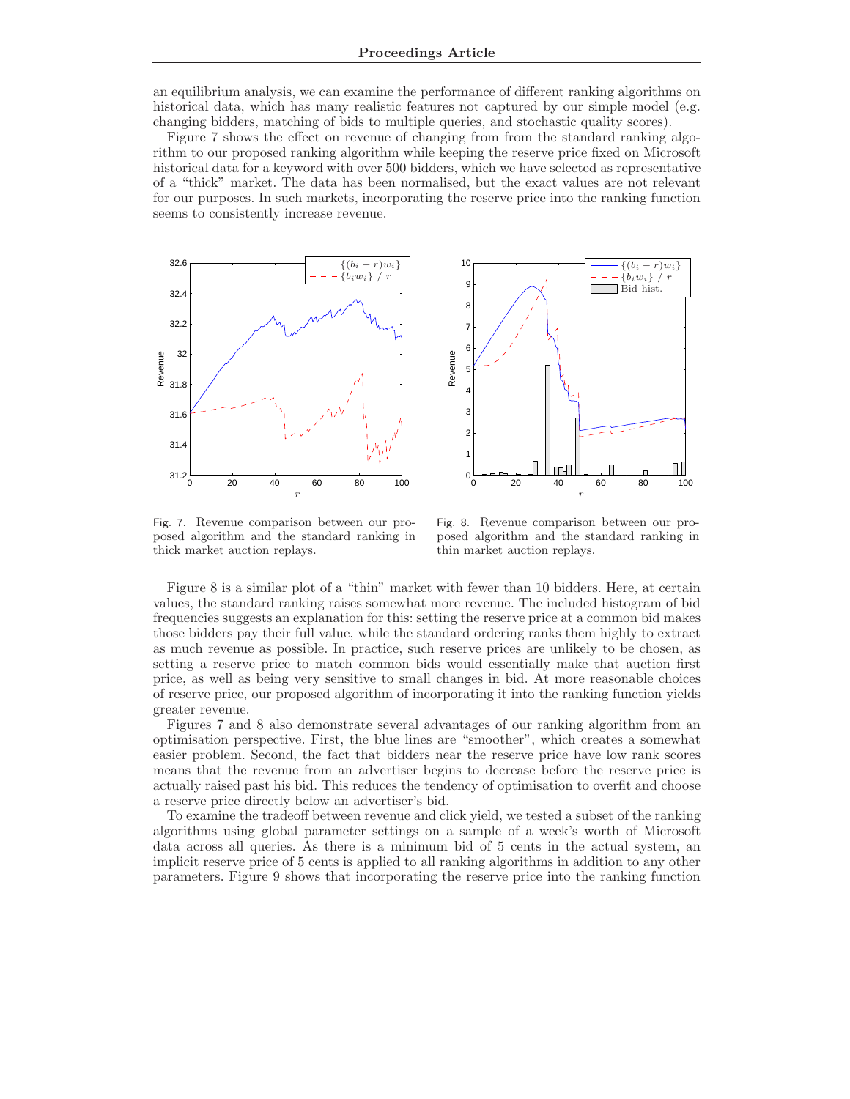an equilibrium analysis, we can examine the performance of different ranking algorithms on historical data, which has many realistic features not captured by our simple model (e.g. changing bidders, matching of bids to multiple queries, and stochastic quality scores).

Figure 7 shows the effect on revenue of changing from from the standard ranking algorithm to our proposed ranking algorithm while keeping the reserve price fixed on Microsoft historical data for a keyword with over 500 bidders, which we have selected as representative of a "thick" market. The data has been normalised, but the exact values are not relevant for our purposes. In such markets, incorporating the reserve price into the ranking function seems to consistently increase revenue.





Fig. 7. Revenue comparison between our proposed algorithm and the standard ranking in thick market auction replays.

Fig. 8. Revenue comparison between our proposed algorithm and the standard ranking in thin market auction replays.

Figure 8 is a similar plot of a "thin" market with fewer than 10 bidders. Here, at certain values, the standard ranking raises somewhat more revenue. The included histogram of bid frequencies suggests an explanation for this: setting the reserve price at a common bid makes those bidders pay their full value, while the standard ordering ranks them highly to extract as much revenue as possible. In practice, such reserve prices are unlikely to be chosen, as setting a reserve price to match common bids would essentially make that auction first price, as well as being very sensitive to small changes in bid. At more reasonable choices of reserve price, our proposed algorithm of incorporating it into the ranking function yields greater revenue.

Figures 7 and 8 also demonstrate several advantages of our ranking algorithm from an optimisation perspective. First, the blue lines are "smoother", which creates a somewhat easier problem. Second, the fact that bidders near the reserve price have low rank scores means that the revenue from an advertiser begins to decrease before the reserve price is actually raised past his bid. This reduces the tendency of optimisation to overfit and choose a reserve price directly below an advertiser's bid.

To examine the tradeoff between revenue and click yield, we tested a subset of the ranking algorithms using global parameter settings on a sample of a week's worth of Microsoft data across all queries. As there is a minimum bid of 5 cents in the actual system, an implicit reserve price of 5 cents is applied to all ranking algorithms in addition to any other parameters. Figure 9 shows that incorporating the reserve price into the ranking function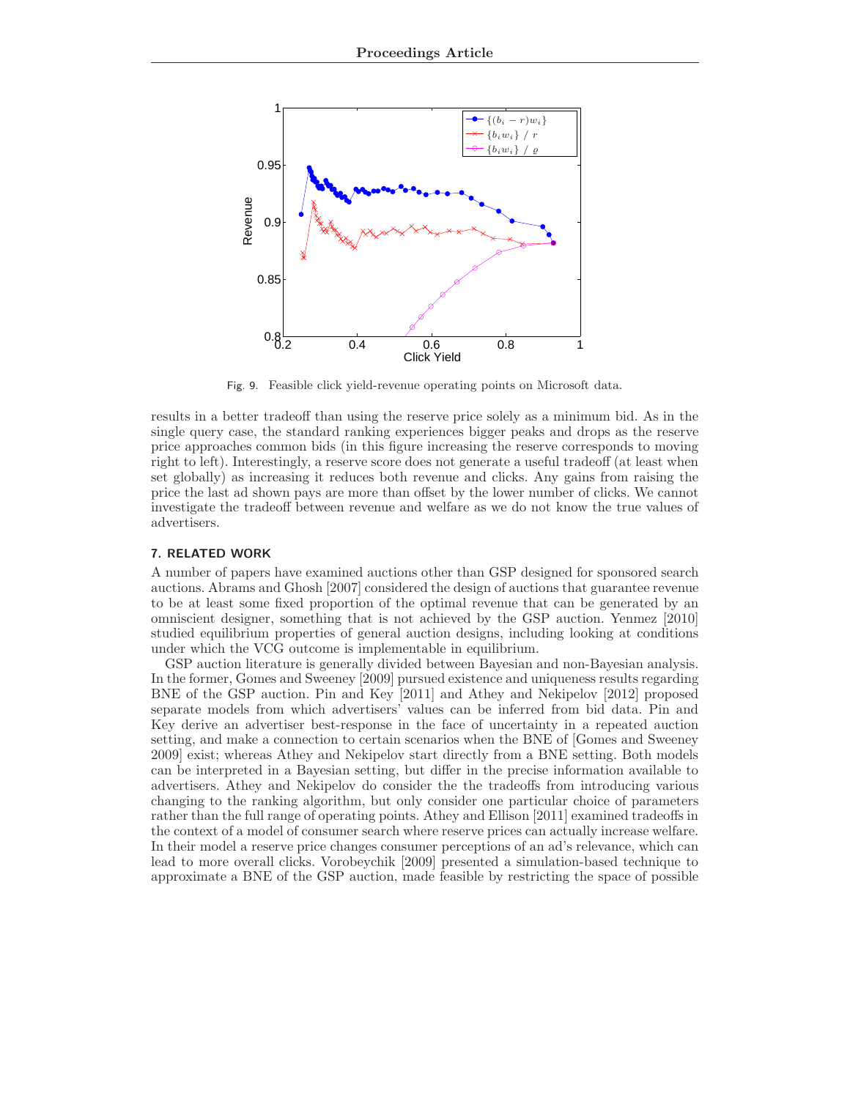

Fig. 9. Feasible click yield-revenue operating points on Microsoft data.

results in a better tradeoff than using the reserve price solely as a minimum bid. As in the single query case, the standard ranking experiences bigger peaks and drops as the reserve price approaches common bids (in this figure increasing the reserve corresponds to moving right to left). Interestingly, a reserve score does not generate a useful tradeoff (at least when set globally) as increasing it reduces both revenue and clicks. Any gains from raising the price the last ad shown pays are more than offset by the lower number of clicks. We cannot investigate the tradeoff between revenue and welfare as we do not know the true values of advertisers.

# 7. RELATED WORK

A number of papers have examined auctions other than GSP designed for sponsored search auctions. Abrams and Ghosh [2007] considered the design of auctions that guarantee revenue to be at least some fixed proportion of the optimal revenue that can be generated by an omniscient designer, something that is not achieved by the GSP auction. Yenmez [2010] studied equilibrium properties of general auction designs, including looking at conditions under which the VCG outcome is implementable in equilibrium.

GSP auction literature is generally divided between Bayesian and non-Bayesian analysis. In the former, Gomes and Sweeney [2009] pursued existence and uniqueness results regarding BNE of the GSP auction. Pin and Key [2011] and Athey and Nekipelov [2012] proposed separate models from which advertisers' values can be inferred from bid data. Pin and Key derive an advertiser best-response in the face of uncertainty in a repeated auction setting, and make a connection to certain scenarios when the BNE of [Gomes and Sweeney 2009] exist; whereas Athey and Nekipelov start directly from a BNE setting. Both models can be interpreted in a Bayesian setting, but differ in the precise information available to advertisers. Athey and Nekipelov do consider the the tradeoffs from introducing various changing to the ranking algorithm, but only consider one particular choice of parameters rather than the full range of operating points. Athey and Ellison [2011] examined tradeoffs in the context of a model of consumer search where reserve prices can actually increase welfare. In their model a reserve price changes consumer perceptions of an ad's relevance, which can lead to more overall clicks. Vorobeychik [2009] presented a simulation-based technique to approximate a BNE of the GSP auction, made feasible by restricting the space of possible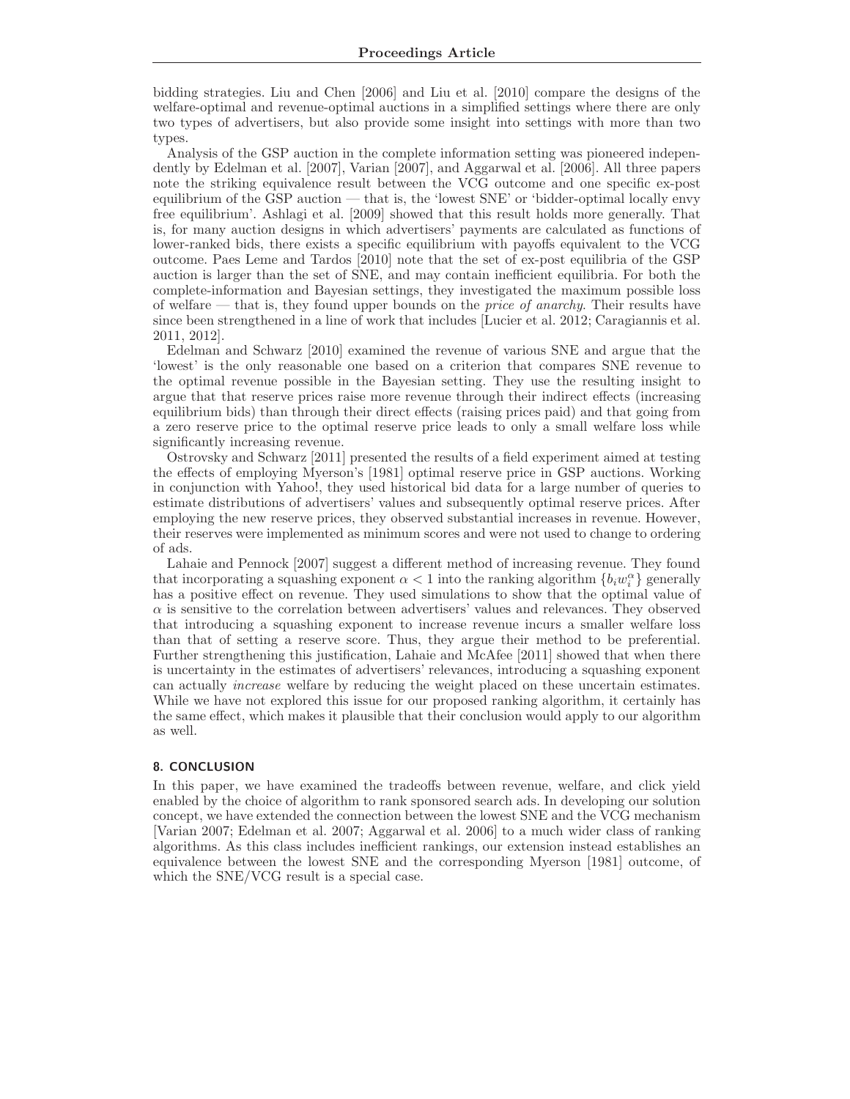bidding strategies. Liu and Chen [2006] and Liu et al. [2010] compare the designs of the welfare-optimal and revenue-optimal auctions in a simplified settings where there are only two types of advertisers, but also provide some insight into settings with more than two types.

Analysis of the GSP auction in the complete information setting was pioneered independently by Edelman et al. [2007], Varian [2007], and Aggarwal et al. [2006]. All three papers note the striking equivalence result between the VCG outcome and one specific ex-post equilibrium of the GSP auction — that is, the 'lowest SNE' or 'bidder-optimal locally envy free equilibrium'. Ashlagi et al. [2009] showed that this result holds more generally. That is, for many auction designs in which advertisers' payments are calculated as functions of lower-ranked bids, there exists a specific equilibrium with payoffs equivalent to the VCG outcome. Paes Leme and Tardos [2010] note that the set of ex-post equilibria of the GSP auction is larger than the set of SNE, and may contain inefficient equilibria. For both the complete-information and Bayesian settings, they investigated the maximum possible loss of welfare — that is, they found upper bounds on the *price of anarchy*. Their results have since been strengthened in a line of work that includes [Lucier et al. 2012; Caragiannis et al. 2011, 2012].

Edelman and Schwarz [2010] examined the revenue of various SNE and argue that the 'lowest' is the only reasonable one based on a criterion that compares SNE revenue to the optimal revenue possible in the Bayesian setting. They use the resulting insight to argue that that reserve prices raise more revenue through their indirect effects (increasing equilibrium bids) than through their direct effects (raising prices paid) and that going from a zero reserve price to the optimal reserve price leads to only a small welfare loss while significantly increasing revenue.

Ostrovsky and Schwarz [2011] presented the results of a field experiment aimed at testing the effects of employing Myerson's [1981] optimal reserve price in GSP auctions. Working in conjunction with Yahoo!, they used historical bid data for a large number of queries to estimate distributions of advertisers' values and subsequently optimal reserve prices. After employing the new reserve prices, they observed substantial increases in revenue. However, their reserves were implemented as minimum scores and were not used to change to ordering of ads.

Lahaie and Pennock [2007] suggest a different method of increasing revenue. They found that incorporating a squashing exponent  $\alpha < 1$  into the ranking algorithm  $\{b_i w_i^{\alpha}\}$  generally has a positive effect on revenue. They used simulations to show that the optimal value of  $\alpha$  is sensitive to the correlation between advertisers' values and relevances. They observed that introducing a squashing exponent to increase revenue incurs a smaller welfare loss than that of setting a reserve score. Thus, they argue their method to be preferential. Further strengthening this justification, Lahaie and McAfee [2011] showed that when there is uncertainty in the estimates of advertisers' relevances, introducing a squashing exponent can actually increase welfare by reducing the weight placed on these uncertain estimates. While we have not explored this issue for our proposed ranking algorithm, it certainly has the same effect, which makes it plausible that their conclusion would apply to our algorithm as well.

### 8. CONCLUSION

In this paper, we have examined the tradeoffs between revenue, welfare, and click yield enabled by the choice of algorithm to rank sponsored search ads. In developing our solution concept, we have extended the connection between the lowest SNE and the VCG mechanism [Varian 2007; Edelman et al. 2007; Aggarwal et al. 2006] to a much wider class of ranking algorithms. As this class includes inefficient rankings, our extension instead establishes an equivalence between the lowest SNE and the corresponding Myerson [1981] outcome, of which the SNE/VCG result is a special case.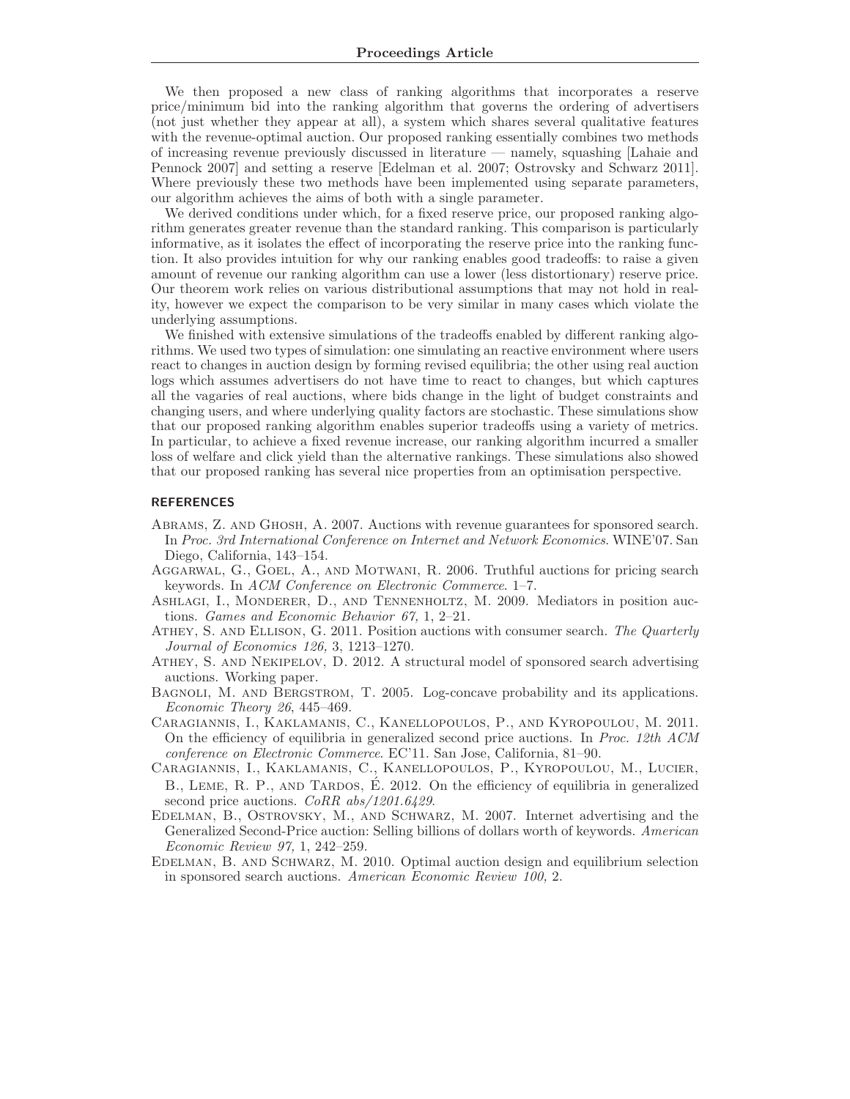We then proposed a new class of ranking algorithms that incorporates a reserve price/minimum bid into the ranking algorithm that governs the ordering of advertisers (not just whether they appear at all), a system which shares several qualitative features with the revenue-optimal auction. Our proposed ranking essentially combines two methods of increasing revenue previously discussed in literature — namely, squashing [Lahaie and Pennock 2007] and setting a reserve [Edelman et al. 2007; Ostrovsky and Schwarz 2011]. Where previously these two methods have been implemented using separate parameters, our algorithm achieves the aims of both with a single parameter.

We derived conditions under which, for a fixed reserve price, our proposed ranking algorithm generates greater revenue than the standard ranking. This comparison is particularly informative, as it isolates the effect of incorporating the reserve price into the ranking function. It also provides intuition for why our ranking enables good tradeoffs: to raise a given amount of revenue our ranking algorithm can use a lower (less distortionary) reserve price. Our theorem work relies on various distributional assumptions that may not hold in reality, however we expect the comparison to be very similar in many cases which violate the underlying assumptions.

We finished with extensive simulations of the tradeoffs enabled by different ranking algorithms. We used two types of simulation: one simulating an reactive environment where users react to changes in auction design by forming revised equilibria; the other using real auction logs which assumes advertisers do not have time to react to changes, but which captures all the vagaries of real auctions, where bids change in the light of budget constraints and changing users, and where underlying quality factors are stochastic. These simulations show that our proposed ranking algorithm enables superior tradeoffs using a variety of metrics. In particular, to achieve a fixed revenue increase, our ranking algorithm incurred a smaller loss of welfare and click yield than the alternative rankings. These simulations also showed that our proposed ranking has several nice properties from an optimisation perspective.

#### REFERENCES

- Abrams, Z. and Ghosh, A. 2007. Auctions with revenue guarantees for sponsored search. In Proc. 3rd International Conference on Internet and Network Economics. WINE'07. San Diego, California, 143–154.
- Aggarwal, G., Goel, A., and Motwani, R. 2006. Truthful auctions for pricing search keywords. In ACM Conference on Electronic Commerce. 1–7.
- Ashlagi, I., Monderer, D., and Tennenholtz, M. 2009. Mediators in position auctions. Games and Economic Behavior 67, 1, 2–21.
- ATHEY, S. AND ELLISON, G. 2011. Position auctions with consumer search. The Quarterly Journal of Economics 126, 3, 1213–1270.
- Athey, S. and Nekipelov, D. 2012. A structural model of sponsored search advertising auctions. Working paper.
- Bagnoli, M. and Bergstrom, T. 2005. Log-concave probability and its applications. Economic Theory 26, 445–469.
- Caragiannis, I., Kaklamanis, C., Kanellopoulos, P., and Kyropoulou, M. 2011. On the efficiency of equilibria in generalized second price auctions. In Proc. 12th ACM conference on Electronic Commerce. EC'11. San Jose, California, 81–90.
- Caragiannis, I., Kaklamanis, C., Kanellopoulos, P., Kyropoulou, M., Lucier, B., LEME, R. P., AND TARDOS, É. 2012. On the efficiency of equilibria in generalized second price auctions. *CoRR abs/1201.6429*.
- Edelman, B., Ostrovsky, M., and Schwarz, M. 2007. Internet advertising and the Generalized Second-Price auction: Selling billions of dollars worth of keywords. American Economic Review 97, 1, 242–259.
- Edelman, B. and Schwarz, M. 2010. Optimal auction design and equilibrium selection in sponsored search auctions. American Economic Review 100, 2.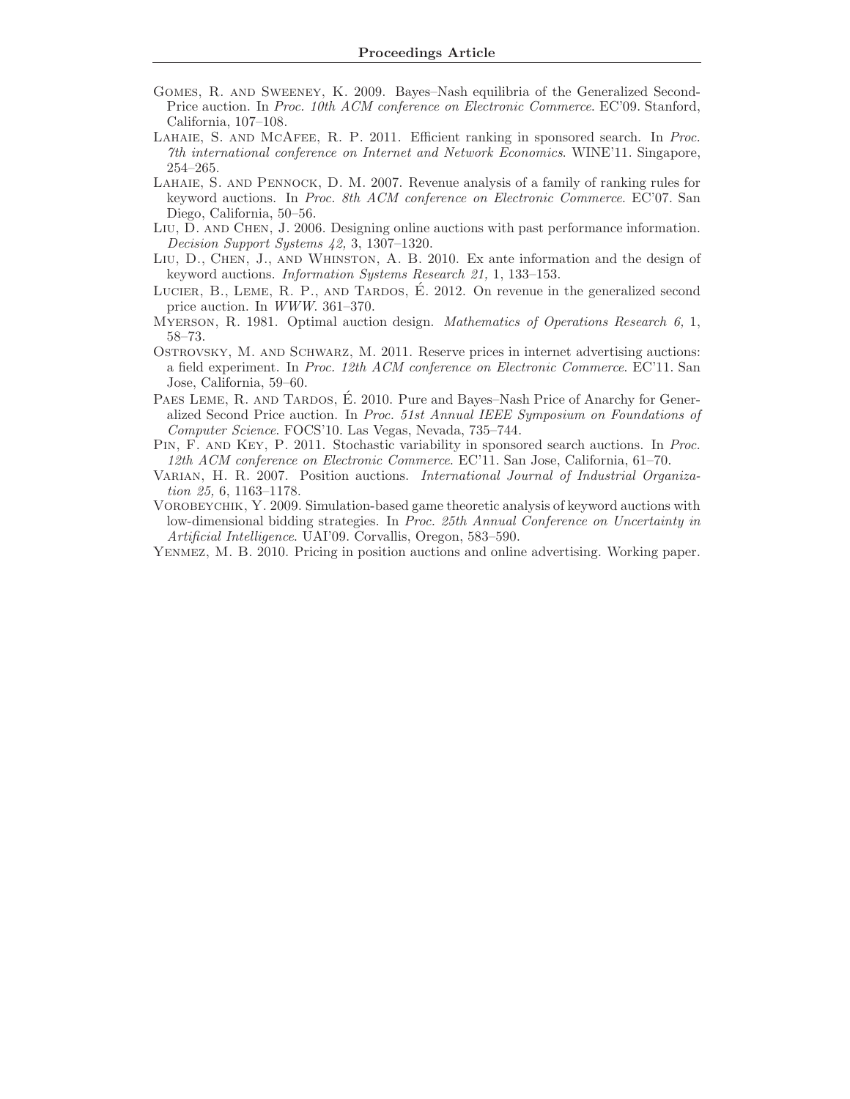- Gomes, R. and Sweeney, K. 2009. Bayes–Nash equilibria of the Generalized Second-Price auction. In Proc. 10th ACM conference on Electronic Commerce. EC'09. Stanford, California, 107–108.
- Lahaie, S. and McAfee, R. P. 2011. Efficient ranking in sponsored search. In Proc. 7th international conference on Internet and Network Economics. WINE'11. Singapore, 254–265.
- Lahaie, S. and Pennock, D. M. 2007. Revenue analysis of a family of ranking rules for keyword auctions. In Proc. 8th ACM conference on Electronic Commerce. EC'07. San Diego, California, 50–56.
- Liu, D. and Chen, J. 2006. Designing online auctions with past performance information. Decision Support Systems 42, 3, 1307–1320.
- Liu, D., Chen, J., and Whinston, A. B. 2010. Ex ante information and the design of keyword auctions. Information Systems Research 21, 1, 133–153.
- LUCIER, B., LEME, R. P., AND TARDOS,  $\dot{E}$ . 2012. On revenue in the generalized second price auction. In WWW. 361–370.
- MYERSON, R. 1981. Optimal auction design. Mathematics of Operations Research 6, 1, 58–73.
- Ostrovsky, M. and Schwarz, M. 2011. Reserve prices in internet advertising auctions: a field experiment. In Proc. 12th ACM conference on Electronic Commerce. EC'11. San Jose, California, 59–60.
- PAES LEME, R. AND TARDOS, É. 2010. Pure and Bayes–Nash Price of Anarchy for Generalized Second Price auction. In Proc. 51st Annual IEEE Symposium on Foundations of Computer Science. FOCS'10. Las Vegas, Nevada, 735–744.
- Pin, F. and Key, P. 2011. Stochastic variability in sponsored search auctions. In Proc. 12th ACM conference on Electronic Commerce. EC'11. San Jose, California, 61–70.
- VARIAN, H. R. 2007. Position auctions. International Journal of Industrial Organization 25, 6, 1163–1178.
- VOROBEYCHIK, Y. 2009. Simulation-based game theoretic analysis of keyword auctions with low-dimensional bidding strategies. In Proc. 25th Annual Conference on Uncertainty in Artificial Intelligence. UAI'09. Corvallis, Oregon, 583–590.
- Yenmez, M. B. 2010. Pricing in position auctions and online advertising. Working paper.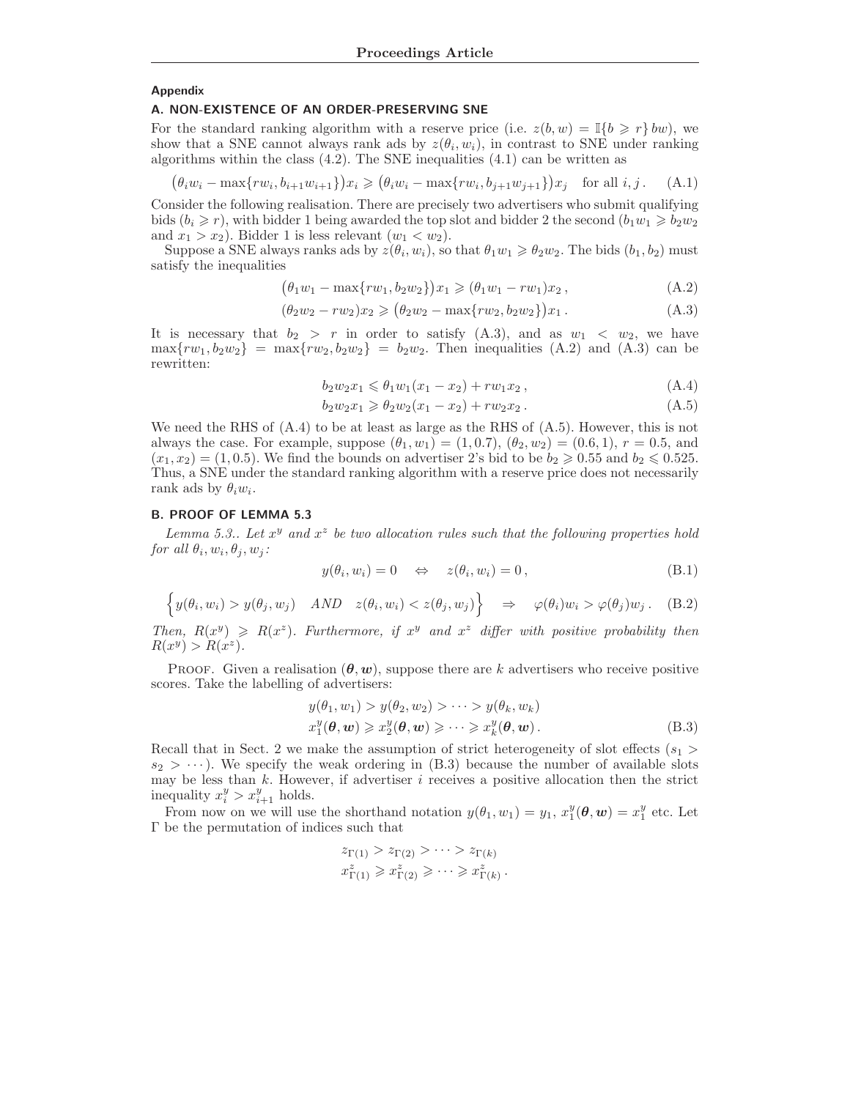#### Appendix

#### A. NON-EXISTENCE OF AN ORDER-PRESERVING SNE

For the standard ranking algorithm with a reserve price (i.e.  $z(b, w) = \mathbb{I}{b \geq r} w$ ), we show that a SNE cannot always rank ads by  $z(\theta_i, w_i)$ , in contrast to SNE under ranking algorithms within the class  $(4.2)$ . The SNE inequalities  $(4.1)$  can be written as

$$
\left(\theta_i w_i - \max\{rw_i, b_{i+1}w_{i+1}\}\right) x_i \geqslant \left(\theta_i w_i - \max\{rw_i, b_{j+1}w_{j+1}\}\right) x_j \quad \text{for all } i, j. \tag{A.1}
$$

Consider the following realisation. There are precisely two advertisers who submit qualifying bids  $(b_i \geq r)$ , with bidder 1 being awarded the top slot and bidder 2 the second  $(b_1w_1 \geq b_2w_2)$ and  $x_1 > x_2$ ). Bidder 1 is less relevant  $(w_1 < w_2)$ .

Suppose a SNE always ranks ads by  $z(\theta_i, w_i)$ , so that  $\theta_1 w_1 \geq \theta_2 w_2$ . The bids  $(b_1, b_2)$  must satisfy the inequalities

$$
(\theta_1 w_1 - \max\{rw_1, b_2 w_2\}) x_1 \geq (\theta_1 w_1 - rw_1) x_2 , \qquad (A.2)
$$

$$
(\theta_2 w_2 - r w_2) x_2 \ge (\theta_2 w_2 - \max\{r w_2, b_2 w_2\}) x_1.
$$
 (A.3)

It is necessary that  $b_2 > r$  in order to satisfy (A.3), and as  $w_1 < w_2$ , we have  $\max\{rw_1, b_2w_2\}$  =  $\max\{rw_2, b_2w_2\}$  =  $b_2w_2$ . Then inequalities (A.2) and (A.3) can be rewritten:

$$
b_2 w_2 x_1 \leqslant \theta_1 w_1 (x_1 - x_2) + r w_1 x_2 , \qquad (A.4)
$$

$$
b_2 w_2 x_1 \geq \theta_2 w_2 (x_1 - x_2) + r w_2 x_2.
$$
 (A.5)

We need the RHS of  $(A.4)$  to be at least as large as the RHS of  $(A.5)$ . However, this is not always the case. For example, suppose  $(\theta_1, w_1) = (1, 0.7), (\theta_2, w_2) = (0.6, 1), r = 0.5$ , and  $(x_1, x_2) = (1, 0.5)$ . We find the bounds on advertiser 2's bid to be  $b_2 \geq 0.55$  and  $b_2 \leq 0.525$ . Thus, a SNE under the standard ranking algorithm with a reserve price does not necessarily rank ads by  $\theta_i w_i$ .

## B. PROOF OF LEMMA 5.3

Lemma 5.3.. Let  $x^y$  and  $x^z$  be two allocation rules such that the following properties hold for all  $\theta_i, w_i, \theta_j, w_j$ :

$$
y(\theta_i, w_i) = 0 \quad \Leftrightarrow \quad z(\theta_i, w_i) = 0, \tag{B.1}
$$

$$
\left\{ y(\theta_i, w_i) > y(\theta_j, w_j) \quad AND \quad z(\theta_i, w_i) < z(\theta_j, w_j) \right\} \quad \Rightarrow \quad \varphi(\theta_i) w_i > \varphi(\theta_j) w_j. \quad (B.2)
$$

Then,  $R(x^y) \ge R(x^z)$ . Furthermore, if  $x^y$  and  $x^z$  differ with positive probability then  $R(x^y) > R(x^z).$ 

**PROOF.** Given a realisation  $(\theta, w)$ , suppose there are k advertisers who receive positive scores. Take the labelling of advertisers:

$$
y(\theta_1, w_1) > y(\theta_2, w_2) > \cdots > y(\theta_k, w_k)
$$
  

$$
x_1^y(\theta, \mathbf{w}) \ge x_2^y(\theta, \mathbf{w}) \ge \cdots \ge x_k^y(\theta, \mathbf{w}).
$$
 (B.3)

Recall that in Sect. 2 we make the assumption of strict heterogeneity of slot effects ( $s_1 >$  $s_2 > \cdots$ ). We specify the weak ordering in (B.3) because the number of available slots may be less than  $k$ . However, if advertiser  $i$  receives a positive allocation then the strict inequality  $x_i^y > x_{i+1}^y$  holds.

From now on we will use the shorthand notation  $y(\theta_1, w_1) = y_1, x_1^y(\theta, w) = x_1^y$  etc. Let Γ be the permutation of indices such that

$$
z_{\Gamma(1)} > z_{\Gamma(2)} > \cdots > z_{\Gamma(k)}
$$
  

$$
x_{\Gamma(1)}^z \geq x_{\Gamma(2)}^z \geq \cdots \geq x_{\Gamma(k)}^z.
$$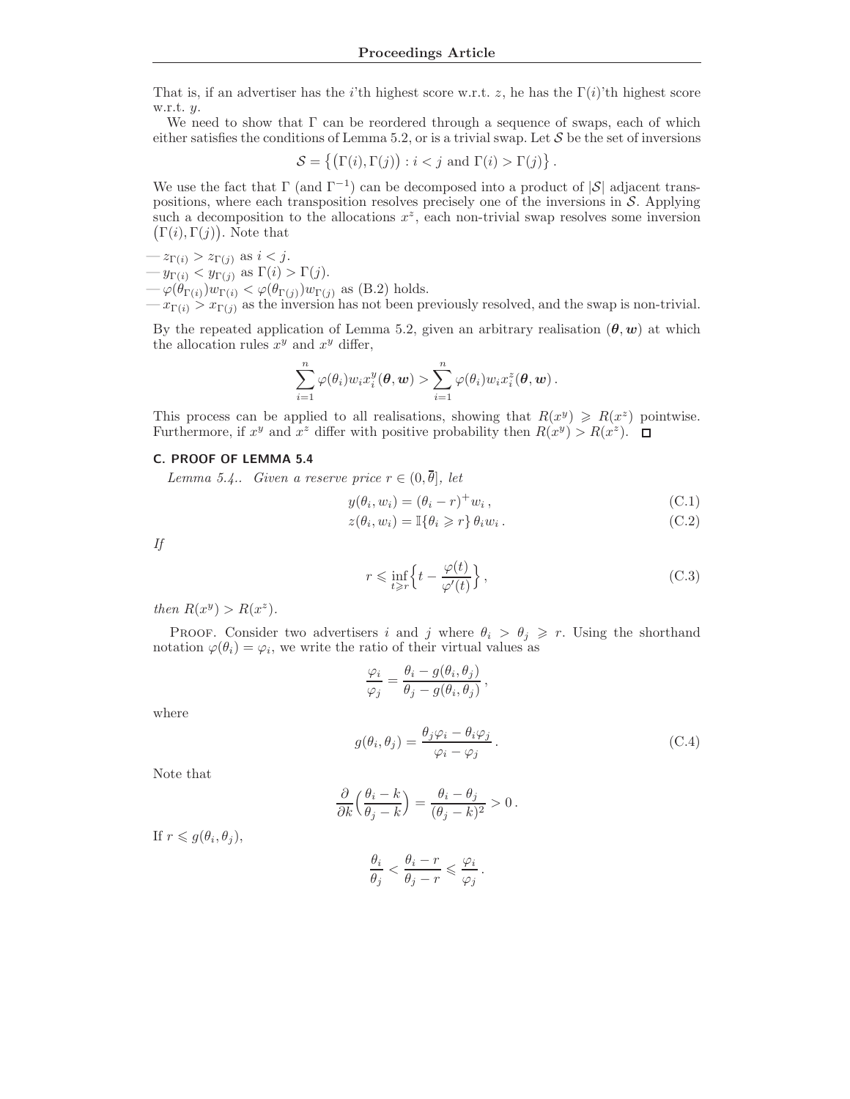That is, if an advertiser has the i'th highest score w.r.t. z, he has the  $\Gamma(i)$ 'th highest score w.r.t.  $y$ .

We need to show that  $\Gamma$  can be reordered through a sequence of swaps, each of which either satisfies the conditions of Lemma 5.2, or is a trivial swap. Let  $\mathcal S$  be the set of inversions

$$
\mathcal{S} = \{ (\Gamma(i), \Gamma(j)) : i < j \text{ and } \Gamma(i) > \Gamma(j) \}.
$$

We use the fact that  $\Gamma$  (and  $\Gamma^{-1}$ ) can be decomposed into a product of  $|\mathcal{S}|$  adjacent transpositions, where each transposition resolves precisely one of the inversions in S. Applying such a decomposition to the allocations  $x^z$ , each non-trivial swap resolves some inversion  $(\Gamma(i), \Gamma(j))$ . Note that

- $-z_{\Gamma(i)} > z_{\Gamma(j)}$  as  $i < j$ .
- $-y_{\Gamma(i)} < y_{\Gamma(j)}$  as  $\Gamma(i) > \Gamma(j)$ .

 $-\varphi(\theta_{\Gamma(i)})w_{\Gamma(i)} < \varphi(\theta_{\Gamma(j)})w_{\Gamma(j)}$  as (B.2) holds.

 $-x_{\Gamma(i)} > x_{\Gamma(i)}$  as the inversion has not been previously resolved, and the swap is non-trivial.

By the repeated application of Lemma 5.2, given an arbitrary realisation  $(\theta, w)$  at which the allocation rules  $x^y$  and  $x^y$  differ,

$$
\sum_{i=1}^n \varphi(\theta_i) w_i x_i^y(\boldsymbol{\theta}, \boldsymbol{w}) > \sum_{i=1}^n \varphi(\theta_i) w_i x_i^z(\boldsymbol{\theta}, \boldsymbol{w}).
$$

This process can be applied to all realisations, showing that  $R(x^y) \ge R(x^z)$  pointwise. Furthermore, if  $x^y$  and  $x^z$  differ with positive probability then  $R(x^y) > R(x^z)$ .

## C. PROOF OF LEMMA 5.4

Lemma 5.4.. Given a reserve price  $r \in (0, \overline{\theta}]$ , let

$$
y(\theta_i, w_i) = (\theta_i - r)^+ w_i, \qquad (C.1)
$$

$$
z(\theta_i, w_i) = \mathbb{I}\{\theta_i \geq r\} \theta_i w_i.
$$
 (C.2)

If

$$
r \leq \inf_{t \geq r} \left\{ t - \frac{\varphi(t)}{\varphi'(t)} \right\},\tag{C.3}
$$

then  $R(x^y) > R(x^z)$ .

PROOF. Consider two advertisers i and j where  $\theta_i > \theta_j \geq r$ . Using the shorthand notation  $\varphi(\theta_i) = \varphi_i$ , we write the ratio of their virtual values as

$$
\frac{\varphi_i}{\varphi_j} = \frac{\theta_i - g(\theta_i, \theta_j)}{\theta_j - g(\theta_i, \theta_j)},
$$
  

$$
g(\theta_i, \theta_j) = \frac{\theta_j \varphi_i - \theta_i \varphi_j}{\varphi_i - \varphi_j}.
$$
 (C.4)

Note that

where

$$
\frac{\partial}{\partial k} \Big( \frac{\theta_i - k}{\theta_j - k} \Big) = \frac{\theta_i - \theta_j}{(\theta_j - k)^2} > 0.
$$

If  $r \leqslant g(\theta_i, \theta_j)$ ,

$$
\frac{\theta_i}{\theta_j} < \frac{\theta_i - r}{\theta_j - r} \leqslant \frac{\varphi_i}{\varphi_j} \, .
$$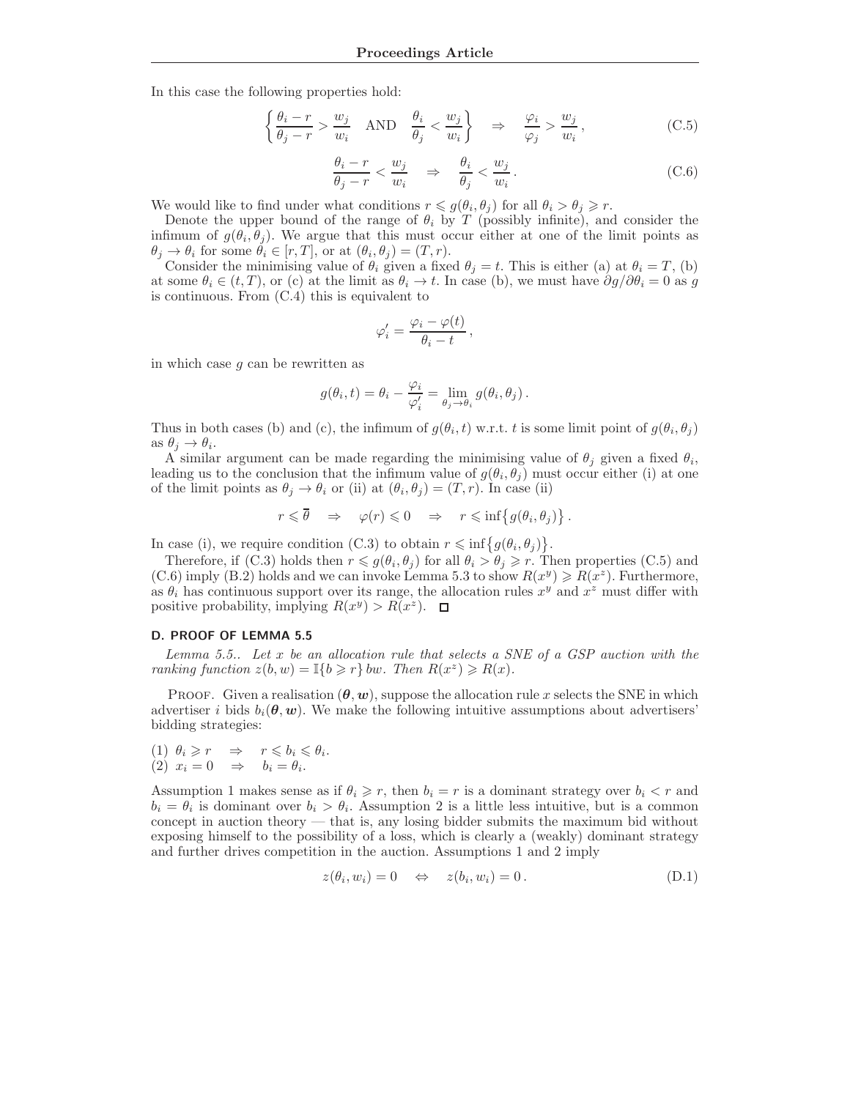In this case the following properties hold:

$$
\left\{\frac{\theta_i - r}{\theta_j - r} > \frac{w_j}{w_i} \quad \text{AND} \quad \frac{\theta_i}{\theta_j} < \frac{w_j}{w_i}\right\} \quad \Rightarrow \quad \frac{\varphi_i}{\varphi_j} > \frac{w_j}{w_i},\tag{C.5}
$$

$$
\frac{\theta_i - r}{\theta_j - r} < \frac{w_j}{w_i} \quad \Rightarrow \quad \frac{\theta_i}{\theta_j} < \frac{w_j}{w_i} \,. \tag{C.6}
$$

We would like to find under what conditions  $r \leq g(\theta_i, \theta_j)$  for all  $\theta_i > \theta_j \geq r$ .

Denote the upper bound of the range of  $\theta_i$  by T (possibly infinite), and consider the infimum of  $g(\theta_i, \theta_j)$ . We argue that this must occur either at one of the limit points as  $\theta_j \to \theta_i$  for some  $\theta_i \in [r, T]$ , or at  $(\theta_i, \theta_j) = (T, r)$ .

Consider the minimising value of  $\theta_i$  given a fixed  $\theta_j = t$ . This is either (a) at  $\theta_i = T$ , (b) at some  $\theta_i \in (t, T)$ , or (c) at the limit as  $\theta_i \to t$ . In case (b), we must have  $\partial g/\partial \theta_i = 0$  as g is continuous. From (C.4) this is equivalent to

$$
\varphi_i' = \frac{\varphi_i - \varphi(t)}{\theta_i - t},
$$

in which case g can be rewritten as

$$
g(\theta_i, t) = \theta_i - \frac{\varphi_i}{\varphi_i'} = \lim_{\theta_j \to \theta_i} g(\theta_i, \theta_j).
$$

Thus in both cases (b) and (c), the infimum of  $g(\theta_i, t)$  w.r.t. t is some limit point of  $g(\theta_i, \theta_j)$ as  $\theta_j \rightarrow \theta_i$ .

A similar argument can be made regarding the minimising value of  $\theta_j$  given a fixed  $\theta_i$ , leading us to the conclusion that the infimum value of  $g(\theta_i, \theta_j)$  must occur either (i) at one of the limit points as  $\theta_j \to \theta_i$  or (ii) at  $(\theta_i, \theta_j) = (T, r)$ . In case (ii)

$$
r \leq \overline{\theta} \quad \Rightarrow \quad \varphi(r) \leq 0 \quad \Rightarrow \quad r \leq \inf\left\{g(\theta_i, \theta_j)\right\}.
$$

In case (i), we require condition (C.3) to obtain  $r \leq \inf\{g(\theta_i, \theta_j)\}.$ 

Therefore, if (C.3) holds then  $r \leq g(\theta_i, \theta_j)$  for all  $\theta_i > \theta_j \geq r$ . Then properties (C.5) and (C.6) imply (B.2) holds and we can invoke Lemma 5.3 to show  $R(x^y) \ge R(x^z)$ . Furthermore, as  $\theta_i$  has continuous support over its range, the allocation rules  $x^y$  and  $x^z$  must differ with positive probability, implying  $R(x^y) > R(x^z)$ .

#### D. PROOF OF LEMMA 5.5

Lemma 5.5.. Let  $x$  be an allocation rule that selects a SNE of a GSP auction with the ranking function  $z(b, w) = \mathbb{I}\{b \geq r\}$  bw. Then  $R(x^z) \geq R(x)$ .

PROOF. Given a realisation  $(\theta, w)$ , suppose the allocation rule x selects the SNE in which advertiser i bids  $b_i(\theta, w)$ . We make the following intuitive assumptions about advertisers' bidding strategies:

$$
\begin{array}{rcl} (1) & \theta_i \geqslant r & \Rightarrow & r \leqslant b_i \leqslant \theta_i. \\ (2) & x_i = 0 & \Rightarrow & b_i = \theta_i. \end{array}
$$

Assumption 1 makes sense as if  $\theta_i \geq r$ , then  $b_i = r$  is a dominant strategy over  $b_i < r$  and  $b_i = \theta_i$  is dominant over  $b_i > \theta_i$ . Assumption 2 is a little less intuitive, but is a common concept in auction theory — that is, any losing bidder submits the maximum bid without exposing himself to the possibility of a loss, which is clearly a (weakly) dominant strategy and further drives competition in the auction. Assumptions 1 and 2 imply

$$
z(\theta_i, w_i) = 0 \quad \Leftrightarrow \quad z(b_i, w_i) = 0. \tag{D.1}
$$